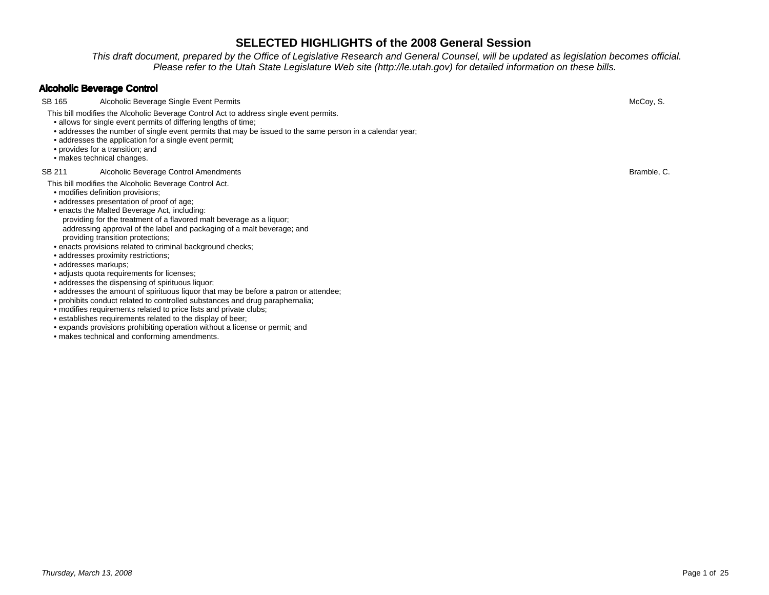This draft document, prepared by the Office of Legislative Research and General Counsel, will be updated as legislation becomes official.Please refer to the Utah State Legislature Web site (http://le.utah.gov) for detailed information on these bills.

## **Alcoholic Beverage Control**

SB 165 Alcoholic Beverage Single Event Permits

This bill modifies the Alcoholic Beverage Control Act to address single event permits.

- allows for single event permits of differing lengths of time;
- addresses the number of single event permits that may be issued to the same person in a calendar year;
- addresses the application for a single event permit;
- provides for a transition; and
- makes technical changes.

### SB 211 Alcoholic Beverage Control Amendments

### This bill modifies the Alcoholic Beverage Control Act.

- modifies definition provisions;
- addresses presentation of proof of age;
- • enacts the Malted Beverage Act, including: providing for the treatment of a flavored malt beverage as a liquor; addressing approval of the label and packaging of a malt beverage; andproviding transition protections;
- enacts provisions related to criminal background checks;
- addresses proximity restrictions;
- addresses markups;
- adjusts quota requirements for licenses;
- addresses the dispensing of spirituous liquor;
- addresses the amount of spirituous liquor that may be before a patron or attendee;
- prohibits conduct related to controlled substances and drug paraphernalia;
- modifies requirements related to price lists and private clubs;
- establishes requirements related to the display of beer;
- expands provisions prohibiting operation without a license or permit; and
- makes technical and conforming amendments.

s and the contract of the contract of the contract of the contract of the contract of the contract of the contract of the contract of the contract of the contract of the contract of the contract of the contract of the cont

s and the contract of the contract of the contract of the contract of the contract of the contract of the contract of the contract of the contract of the contract of the contract of the contract of the contract of the cont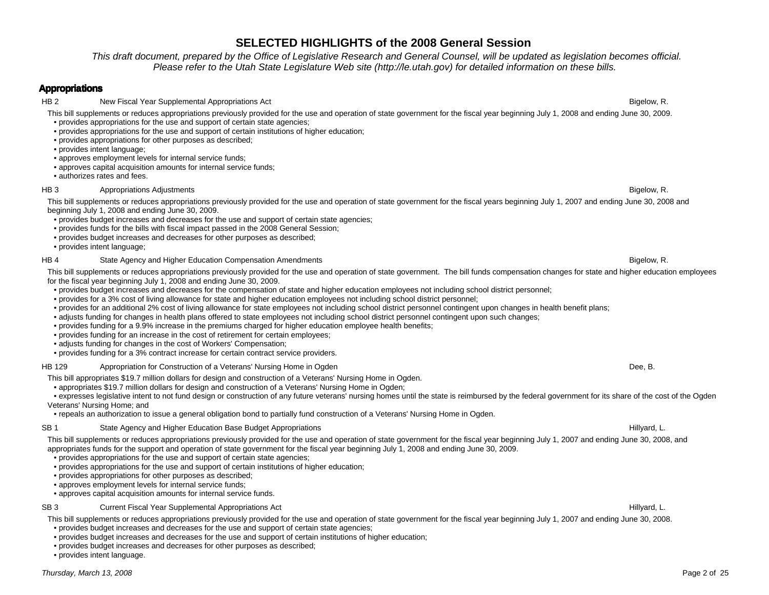This draft document, prepared by the Office of Legislative Research and General Counsel, will be updated as legislation becomes official.Please refer to the Utah State Legislature Web site (http://le.utah.gov) for detailed information on these bills.

### **Appropriations**

HB 2 New Fiscal Year Supplemental Appropriations Act **Bigelow, R.** Bigelow, R.

This bill supplements or reduces appropriations previously provided for the use and operation of state government for the fiscal year beginning July 1, 2008 and ending June 30, 2009.• provides appropriations for the use and support of certain state agencies;

- provides appropriations for the use and support of certain institutions of higher education;
- provides appropriations for other purposes as described;
- provides intent language;
- approves employment levels for internal service funds;
- approves capital acquisition amounts for internal service funds;
- authorizes rates and fees.

### HB 3 **Appropriations Adjustments**

This bill supplements or reduces appropriations previously provided for the use and operation of state government for the fiscal years beginning July 1, 2007 and ending June 30, 2008 and beginning July 1, 2008 and ending June 30, 2009.

- provides budget increases and decreases for the use and support of certain state agencies;
- provides funds for the bills with fiscal impact passed in the 2008 General Session;
- provides budget increases and decreases for other purposes as described;
- provides intent language;

#### HB 4 State Agency and Higher Education Compensation Amendments

This bill supplements or reduces appropriations previously provided for the use and operation of state government. The bill funds compensation changes for state and higher education employees for the fiscal year beginning July 1, 2008 and ending June 30, 2009.

- provides budget increases and decreases for the compensation of state and higher education employees not including school district personnel;
- provides for a 3% cost of living allowance for state and higher education employees not including school district personnel;
- provides for an additional 2% cost of living allowance for state employees not including school district personnel contingent upon changes in health benefit plans;
- adjusts funding for changes in health plans offered to state employees not including school district personnel contingent upon such changes;
- provides funding for a 9.9% increase in the premiums charged for higher education employee health benefits;
- provides funding for an increase in the cost of retirement for certain employees;
- adjusts funding for changes in the cost of Workers' Compensation;
- provides funding for a 3% contract increase for certain contract service providers.

### HB 129 Appropriation for Construction of a Veterans' Nursing Home in Ogden

This bill appropriates \$19.7 million dollars for design and construction of a Veterans' Nursing Home in Ogden.

• appropriates \$19.7 million dollars for design and construction of a Veterans' Nursing Home in Ogden;

 • expresses legislative intent to not fund design or construction of any future veterans' nursing homes until the state is reimbursed by the federal government for its share of the cost of the Ogden Veterans' Nursing Home; and

• repeals an authorization to issue a general obligation bond to partially fund construction of a Veterans' Nursing Home in Ogden.

### SB 1 State Agency and Higher Education Base Budget Appropriations

s and the contract of the contract of the contract of the contract of the contract of the contract of the contract of the contract of the contract of the contract of the contract of the contract of the contract of the cont This bill supplements or reduces appropriations previously provided for the use and operation of state government for the fiscal year beginning July 1, 2007 and ending June 30, 2008, and appropriates funds for the support and operation of state government for the fiscal year beginning July 1, 2008 and ending June 30, 2009.

- provides appropriations for the use and support of certain state agencies;
- provides appropriations for the use and support of certain institutions of higher education;
- provides appropriations for other purposes as described;
- approves employment levels for internal service funds;
- approves capital acquisition amounts for internal service funds.

### SB 3 Current Fiscal Year Supplemental Appropriations Act **Act Supplemental Appropriations Act** Hillyard, L.

- provides budget increases and decreases for the use and support of certain institutions of higher education;
- provides budget increases and decreases for other purposes as described;

• provides intent language.

s and the contract of the contract of the contract of the contract of the contract of the contract of the contract of the contract of the contract of the contract of the contract of the contract of the contract of the cont

n Dee, B.

s and the state of the state of the state of the state of the state of the state of the Bigelow, R.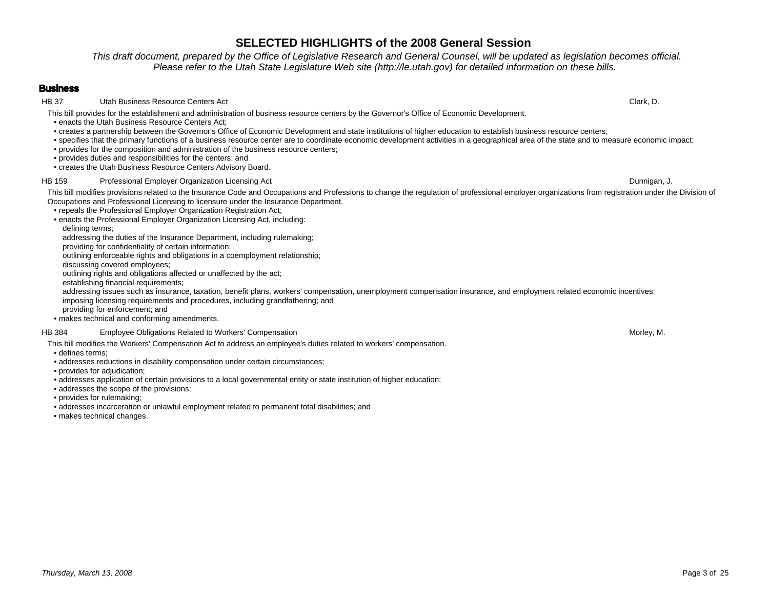This draft document, prepared by the Office of Legislative Research and General Counsel, will be updated as legislation becomes official.Please refer to the Utah State Legislature Web site (http://le.utah.gov) for detailed information on these bills.

### **Business**

HB 37 Utah Business Resource Centers Act Clark, D.

This bill provides for the establishment and administration of business resource centers by the Governor's Office of Economic Development.

• enacts the Utah Business Resource Centers Act;

- creates a partnership between the Governor's Office of Economic Development and state institutions of higher education to establish business resource centers;
- specifies that the primary functions of a business resource center are to coordinate economic development activities in a geographical area of the state and to measure economic impact;
- provides for the composition and administration of the business resource centers;
- provides duties and responsibilities for the centers; and
- creates the Utah Business Resource Centers Advisory Board.

### HB 159 Professional Employer Organization Licensing Act **Dunnigan, J.** Dunnigan, J. Dunnigan, J. Dunnigan, J. Dunnigan, J. Dunnigan, J. Dunnigan, J. Dunnigan, J. Dunnigan, J. Dunnigan, J. Dunnigan, J. Dunnigan, J. Dunnigan

This bill modifies provisions related to the Insurance Code and Occupations and Professions to change the regulation of professional employer organizations from registration under the Division of Occupations and Professional Licensing to licensure under the Insurance Department.

- repeals the Professional Employer Organization Registration Act;
- • enacts the Professional Employer Organization Licensing Act, including:defining terms;

addressing the duties of the Insurance Department, including rulemaking;

providing for confidentiality of certain information;

outlining enforceable rights and obligations in a coemployment relationship;

discussing covered employees;

outlining rights and obligations affected or unaffected by the act;

establishing financial requirements;

 addressing issues such as insurance, taxation, benefit plans, workers' compensation, unemployment compensation insurance, and employment related economic incentives;imposing licensing requirements and procedures, including grandfathering; and

providing for enforcement; and

• makes technical and conforming amendments.

#### HB 384 Employee Obligations Related to Workers' Compensation

- This bill modifies the Workers' Compensation Act to address an employee's duties related to workers' compensation.
- defines terms;
- addresses reductions in disability compensation under certain circumstances;
- provides for adjudication;
- addresses application of certain provisions to a local governmental entity or state institution of higher education;
- addresses the scope of the provisions;
- provides for rulemaking;
- addresses incarceration or unlawful employment related to permanent total disabilities; and
- makes technical changes.

n and the control of the control of the control of the control of the control of the control of the control of the control of the control of the control of the control of the control of the control of the control of the co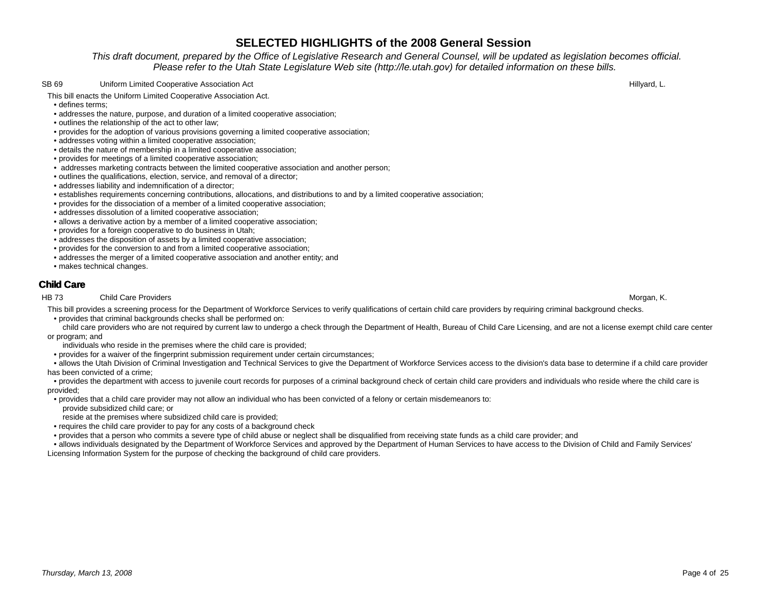This draft document, prepared by the Office of Legislative Research and General Counsel, will be updated as legislation becomes official.Please refer to the Utah State Legislature Web site (http://le.utah.gov) for detailed information on these bills.

#### SB 69 Uniform Limited Cooperative Association Act **Hillyard, L.** And The State of the Unit of the State of the Hillyard, L.

This bill enacts the Uniform Limited Cooperative Association Act.

- defines terms;
- addresses the nature, purpose, and duration of a limited cooperative association;
- outlines the relationship of the act to other law;
- provides for the adoption of various provisions governing a limited cooperative association;
- addresses voting within a limited cooperative association;
- details the nature of membership in a limited cooperative association;
- provides for meetings of a limited cooperative association;
- addresses marketing contracts between the limited cooperative association and another person;
- outlines the qualifications, election, service, and removal of a director;
- addresses liability and indemnification of a director;
- establishes requirements concerning contributions, allocations, and distributions to and by a limited cooperative association;
- provides for the dissociation of a member of a limited cooperative association;
- addresses dissolution of a limited cooperative association;
- allows a derivative action by a member of a limited cooperative association;
- provides for a foreign cooperative to do business in Utah;
- addresses the disposition of assets by a limited cooperative association;
- provides for the conversion to and from a limited cooperative association;
- addresses the merger of a limited cooperative association and another entity; and
- makes technical changes.

## **Child Care**

#### HB 73 Child Care Providers

This bill provides a screening process for the Department of Workforce Services to verify qualifications of certain child care providers by requiring criminal background checks.• provides that criminal backgrounds checks shall be performed on:

 child care providers who are not required by current law to undergo a check through the Department of Health, Bureau of Child Care Licensing, and are not a license exempt child care center or program; and

- individuals who reside in the premises where the child care is provided;
- provides for a waiver of the fingerprint submission requirement under certain circumstances;

 • allows the Utah Division of Criminal Investigation and Technical Services to give the Department of Workforce Services access to the division's data base to determine if a child care provider has been convicted of a crime;

 • provides the department with access to juvenile court records for purposes of a criminal background check of certain child care providers and individuals who reside where the child care is provided;

- • provides that a child care provider may not allow an individual who has been convicted of a felony or certain misdemeanors to:
	- provide subsidized child care; or
- reside at the premises where subsidized child care is provided;
- requires the child care provider to pay for any costs of a background check
- provides that a person who commits a severe type of child abuse or neglect shall be disqualified from receiving state funds as a child care provider; and
- • allows individuals designated by the Department of Workforce Services and approved by the Department of Human Services to have access to the Division of Child and Family Services' Licensing Information System for the purpose of checking the background of child care providers.

s and the control of the control of the control of the control of the control of the control of the control of the control of the control of the control of the control of the control of the control of the control of the co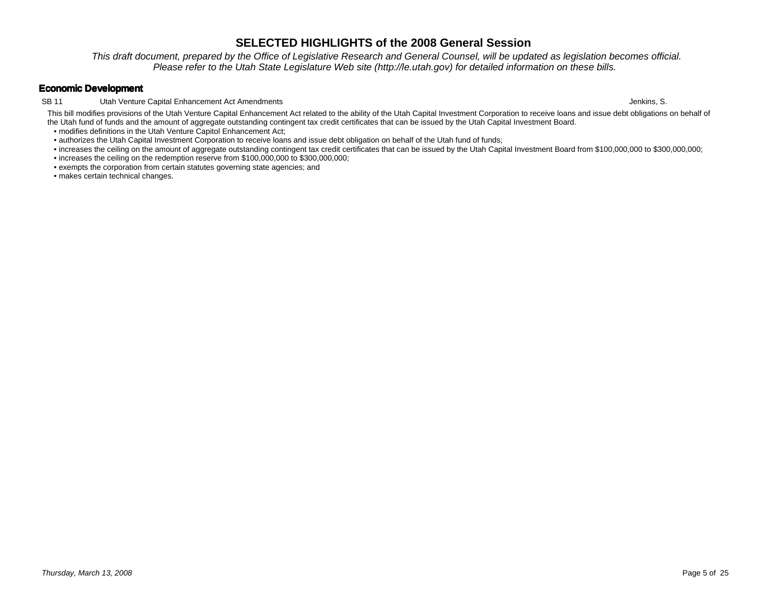This draft document, prepared by the Office of Legislative Research and General Counsel, will be updated as legislation becomes official.Please refer to the Utah State Legislature Web site (http://le.utah.gov) for detailed information on these bills.

## **Economic Development**

SB 11 Utah Venture Capital Enhancement Act Amendments

This bill modifies provisions of the Utah Venture Capital Enhancement Act related to the ability of the Utah Capital Investment Corporation to receive loans and issue debt obligations on behalf of the Utah fund of funds and the amount of aggregate outstanding contingent tax credit certificates that can be issued by the Utah Capital Investment Board.

• modifies definitions in the Utah Venture Capitol Enhancement Act;

- authorizes the Utah Capital Investment Corporation to receive loans and issue debt obligation on behalf of the Utah fund of funds;
- increases the ceiling on the amount of aggregate outstanding contingent tax credit certificates that can be issued by the Utah Capital Investment Board from \$100,000,000 to \$300,000,000;

• increases the ceiling on the redemption reserve from \$100,000,000 to \$300,000,000;

• exempts the corporation from certain statutes governing state agencies; and

• makes certain technical changes.

Jenkins, S.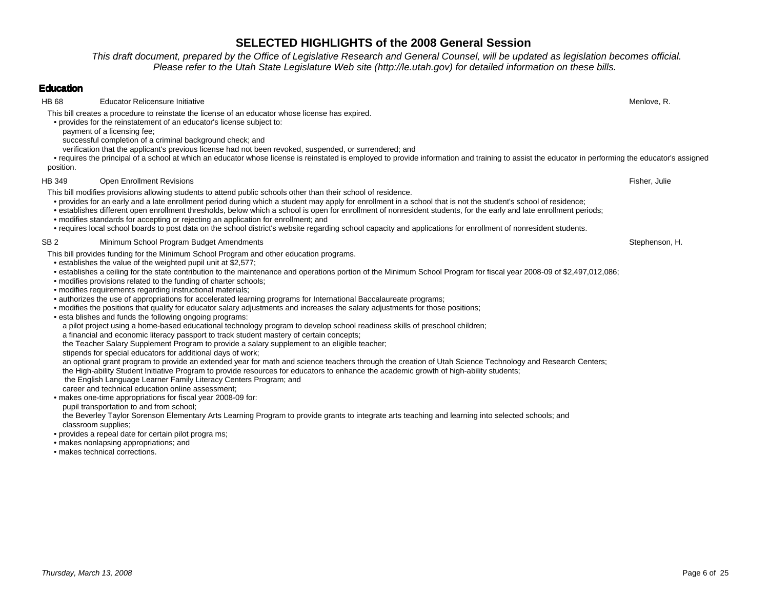This draft document, prepared by the Office of Legislative Research and General Counsel, will be updated as legislation becomes official.Please refer to the Utah State Legislature Web site (http://le.utah.gov) for detailed information on these bills.

## **Education**

HB 68 Educator Relicensure Initiativee de la contradiction de la contradiction de la contradiction de la contradiction de la contradiction de la contradiction de la contradiction de la contradiction de la contradiction de la contradiction de la contradiction

This bill creates a procedure to reinstate the license of an educator whose license has expired.

• provides for the reinstatement of an educator's license subject to:

payment of a licensing fee;

successful completion of a criminal background check; and

verification that the applicant's previous license had not been revoked, suspended, or surrendered; and

 • requires the principal of a school at which an educator whose license is reinstated is employed to provide information and training to assist the educator in performing the educator's assigned position.

## HB 349 Open Enrollment Revisions

s the contract of the contract of the contract of the contract of the contract of the contract of the contract of the contract of the contract of the contract of the contract of the contract of the contract of the contract This bill modifies provisions allowing students to attend public schools other than their school of residence.

- provides for an early and a late enrollment period during which a student may apply for enrollment in a school that is not the student's school of residence;
- establishes different open enrollment thresholds, below which a school is open for enrollment of nonresident students, for the early and late enrollment periods;
- modifies standards for accepting or rejecting an application for enrollment; and
- requires local school boards to post data on the school district's website regarding school capacity and applications for enrollment of nonresident students.

## SB 2 Minimum School Program Budget Amendments

stephenson, H. Stephenson, H. Stephenson, H. Stephenson, H. Stephenson, H. Stephenson, H. Stephenson, H. Stephenson, H. Stephenson, H. Stephenson, H. Stephenson, H. Stephenson, H. Stephenson, H. Stephenson, H. Stephenson, This bill provides funding for the Minimum School Program and other education programs.

- establishes the value of the weighted pupil unit at \$2,577;
- establishes a ceiling for the state contribution to the maintenance and operations portion of the Minimum School Program for fiscal year 2008-09 of \$2,497,012,086;
- modifies provisions related to the funding of charter schools;
- modifies requirements regarding instructional materials;
- authorizes the use of appropriations for accelerated learning programs for International Baccalaureate programs;
- modifies the positions that qualify for educator salary adjustments and increases the salary adjustments for those positions;
- esta blishes and funds the following ongoing programs:
- a pilot project using a home-based educational technology program to develop school readiness skills of preschool children;
	- a financial and economic literacy passport to track student mastery of certain concepts;

the Teacher Salary Supplement Program to provide a salary supplement to an eligible teacher;

stipends for special educators for additional days of work;

an optional grant program to provide an extended year for math and science teachers through the creation of Utah Science Technology and Research Centers;

the High-ability Student Initiative Program to provide resources for educators to enhance the academic growth of high-ability students;

the English Language Learner Family Literacy Centers Program; and

career and technical education online assessment;

• makes one-time appropriations for fiscal year 2008-09 for:

pupil transportation to and from school;

 the Beverley Taylor Sorenson Elementary Arts Learning Program to provide grants to integrate arts teaching and learning into selected schools; andclassroom supplies;

- provides a repeal date for certain pilot progra ms;
- makes nonlapsing appropriations; and
- makes technical corrections.

Page 6 of 25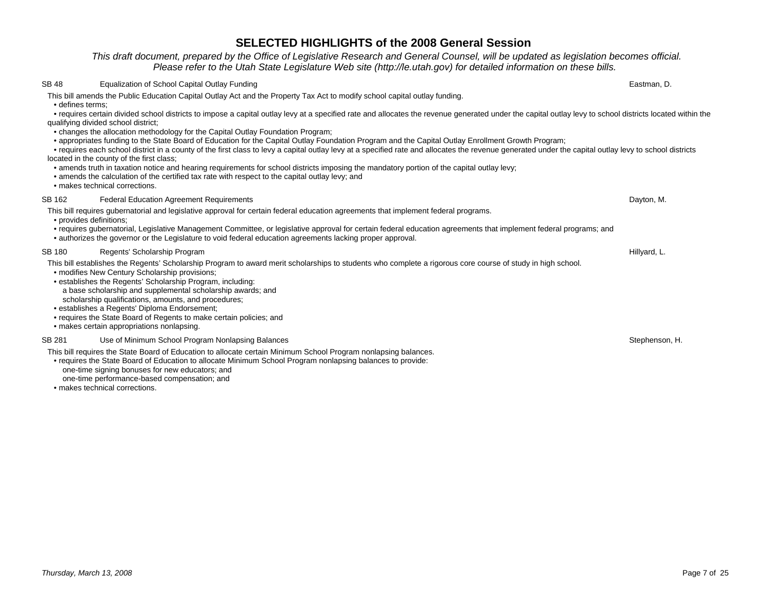This draft document, prepared by the Office of Legislative Research and General Counsel, will be updated as legislation becomes official.Please refer to the Utah State Legislature Web site (http://le.utah.gov) for detailed information on these bills.

#### SB 48 Equalization of School Capital Outlay Funding

g and the set of the set of the set of the set of the set of the set of the set of the set of the set of the set of the set of the set of the set of the set of the set of the set of the set of the set of the set of the set This bill amends the Public Education Capital Outlay Act and the Property Tax Act to modify school capital outlay funding.

• defines terms;

 • requires certain divided school districts to impose a capital outlay levy at a specified rate and allocates the revenue generated under the capital outlay levy to school districts located within the qualifying divided school district;

- changes the allocation methodology for the Capital Outlay Foundation Program;
- appropriates funding to the State Board of Education for the Capital Outlay Foundation Program and the Capital Outlay Enrollment Growth Program;

 • requires each school district in a county of the first class to levy a capital outlay levy at a specified rate and allocates the revenue generated under the capital outlay levy to school districts located in the county of the first class;

- amends truth in taxation notice and hearing requirements for school districts imposing the mandatory portion of the capital outlay levy;
- amends the calculation of the certified tax rate with respect to the capital outlay levy; and
- makes technical corrections.

#### SB 162 Federal Education Agreement Requirements

- This bill requires gubernatorial and legislative approval for certain federal education agreements that implement federal programs.
- provides definitions;
- requires gubernatorial, Legislative Management Committee, or legislative approval for certain federal education agreements that implement federal programs; and
- authorizes the governor or the Legislature to void federal education agreements lacking proper approval.

#### SB 180 Regents' Scholarship Program

B 180 Regents' Scholarship Program<br>This bill establishes the Regents' Scholarship Program to award merit scholarships to students who complete a rigorous core course of study in high school.

- modifies New Century Scholarship provisions;
- establishes the Regents' Scholarship Program, including:
- a base scholarship and supplemental scholarship awards; andscholarship qualifications, amounts, and procedures;
- establishes a Regents' Diploma Endorsement;
- requires the State Board of Regents to make certain policies; and
- makes certain appropriations nonlapsing.

#### SB 281 Use of Minimum School Program Nonlapsing Balances

This bill requires the State Board of Education to allocate certain Minimum School Program nonlapsing balances.

- requires the State Board of Education to allocate Minimum School Program nonlapsing balances to provide:
- one-time signing bonuses for new educators; and
- one-time performance-based compensation; and
- makes technical corrections.

stephenson, H. Stephenson, H. Stephenson, H. Stephenson, H. Stephenson, H. Stephenson, H. Stephenson, H. Stephenson, H. Stephenson, H. Stephenson, H. Stephenson, H. Stephenson, H. Stephenson, H. Stephenson, H. Stephenson,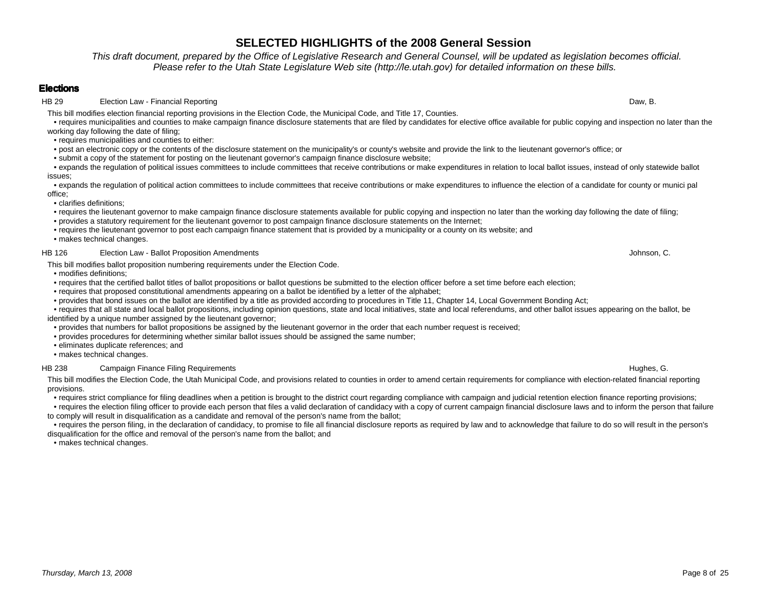This draft document, prepared by the Office of Legislative Research and General Counsel, will be updated as legislation becomes official.Please refer to the Utah State Legislature Web site (http://le.utah.gov) for detailed information on these bills.

## **Elections**

HB 29 Election Law - Financial Reporting

This bill modifies election financial reporting provisions in the Election Code, the Municipal Code, and Title 17, Counties.

 • requires municipalities and counties to make campaign finance disclosure statements that are filed by candidates for elective office available for public copying and inspection no later than the working day following the date of filing;

- requires municipalities and counties to either:
- post an electronic copy or the contents of the disclosure statement on the municipality's or county's website and provide the link to the lieutenant governor's office; or
- submit a copy of the statement for posting on the lieutenant governor's campaign finance disclosure website;

 • expands the regulation of political issues committees to include committees that receive contributions or make expenditures in relation to local ballot issues, instead of only statewide ballot issues;

 • expands the regulation of political action committees to include committees that receive contributions or make expenditures to influence the election of a candidate for county or munici pal office;

• clarifies definitions;

- requires the lieutenant governor to make campaign finance disclosure statements available for public copying and inspection no later than the working day following the date of filing;
- provides a statutory requirement for the lieutenant governor to post campaign finance disclosure statements on the Internet;
- requires the lieutenant governor to post each campaign finance statement that is provided by a municipality or a county on its website; and

• makes technical changes.

#### HB 126 Election Law - Ballot Proposition AmendmentsJohnson, C.

This bill modifies ballot proposition numbering requirements under the Election Code.

- modifies definitions;
- requires that the certified ballot titles of ballot propositions or ballot questions be submitted to the election officer before a set time before each election;
- requires that proposed constitutional amendments appearing on a ballot be identified by a letter of the alphabet;
- provides that bond issues on the ballot are identified by a title as provided according to procedures in Title 11, Chapter 14, Local Government Bonding Act;

 • requires that all state and local ballot propositions, including opinion questions, state and local initiatives, state and local referendums, and other ballot issues appearing on the ballot, be identified by a unique number assigned by the lieutenant governor;

- provides that numbers for ballot propositions be assigned by the lieutenant governor in the order that each number request is received;
- provides procedures for determining whether similar ballot issues should be assigned the same number;
- eliminates duplicate references; and
- makes technical changes.

### HB 238 Campaign Finance Filing Requirements

This bill modifies the Election Code, the Utah Municipal Code, and provisions related to counties in order to amend certain requirements for compliance with election-related financial reporting provisions.

• requires strict compliance for filing deadlines when a petition is brought to the district court regarding compliance with campaign and judicial retention election finance reporting provisions;

 • requires the election filing officer to provide each person that files a valid declaration of candidacy with a copy of current campaign financial disclosure laws and to inform the person that failureto comply will result in disqualification as a candidate and removal of the person's name from the ballot;

 • requires the person filing, in the declaration of candidacy, to promise to file all financial disclosure reports as required by law and to acknowledge that failure to do so will result in the person's disqualification for the office and removal of the person's name from the ballot; and

• makes technical changes.

g and the state of the state of the state of the state of the state of the state of the Daw, B. Daw, B.

s and the control of the control of the control of the control of the control of the control of the control of the control of the control of the control of the control of the control of the control of the control of the co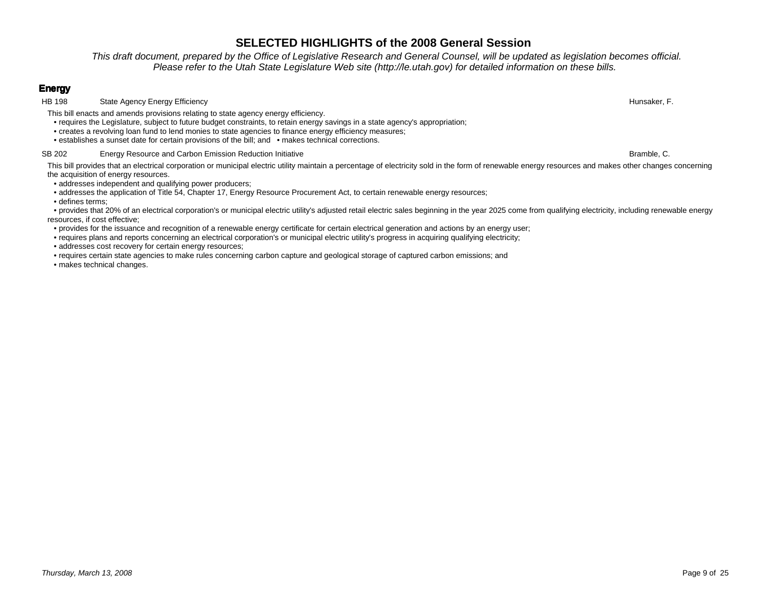This draft document, prepared by the Office of Legislative Research and General Counsel, will be updated as legislation becomes official.Please refer to the Utah State Legislature Web site (http://le.utah.gov) for detailed information on these bills.

## **Energy**

**HB 198** State Agency Energy Efficiency

This bill enacts and amends provisions relating to state agency energy efficiency.

• requires the Legislature, subject to future budget constraints, to retain energy savings in a state agency's appropriation;

- creates a revolving loan fund to lend monies to state agencies to finance energy efficiency measures;
- establishes a sunset date for certain provisions of the bill; and makes technical corrections.

### SB 202 Energy Resource and Carbon Emission Reduction Initiative

This bill provides that an electrical corporation or municipal electric utility maintain a percentage of electricity sold in the form of renewable energy resources and makes other changes concerning the acquisition of energy resources.

• addresses independent and qualifying power producers;

• addresses the application of Title 54, Chapter 17, Energy Resource Procurement Act, to certain renewable energy resources;

• defines terms;

 • provides that 20% of an electrical corporation's or municipal electric utility's adjusted retail electric sales beginning in the year 2025 come from qualifying electricity, including renewable energyresources, if cost effective;

- provides for the issuance and recognition of a renewable energy certificate for certain electrical generation and actions by an energy user;
- requires plans and reports concerning an electrical corporation's or municipal electric utility's progress in acquiring qualifying electricity;
- addresses cost recovery for certain energy resources;

• requires certain state agencies to make rules concerning carbon capture and geological storage of captured carbon emissions; and

• makes technical changes.

y and the set of the set of the set of the set of the set of the set of the set of the set of the set of the set of the set of the set of the set of the set of the set of the set of the set of the set of the set of the set

e behavior of the state of the state of the state of the state of the Bramble, C.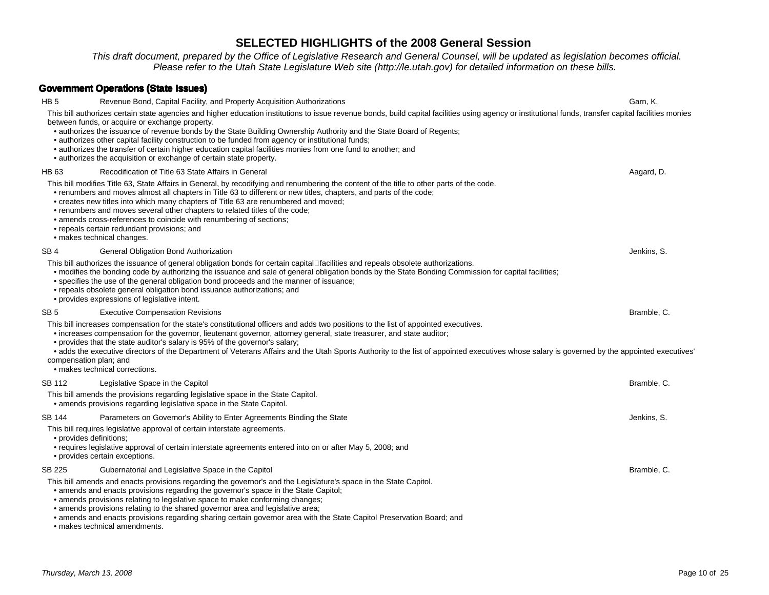.This draft document, prepared by the Office of Legislative Research and General Counsel, will be updated as legislation becomes official.<br>Please refer to the Utah State Legislature Web site (http://le.utah.gov) for detail

# **Government Operations (State Issues)**

| HB 5            | Revenue Bond, Capital Facility, and Property Acquisition Authorizations                                                                                                                                                                                                                                                                                                                                                                                                                                                                                                                                                                                                        | Garn, K.    |
|-----------------|--------------------------------------------------------------------------------------------------------------------------------------------------------------------------------------------------------------------------------------------------------------------------------------------------------------------------------------------------------------------------------------------------------------------------------------------------------------------------------------------------------------------------------------------------------------------------------------------------------------------------------------------------------------------------------|-------------|
|                 | This bill authorizes certain state agencies and higher education institutions to issue revenue bonds, build capital facilities using agency or institutional funds, transfer capital facilities monies<br>between funds, or acquire or exchange property.<br>• authorizes the issuance of revenue bonds by the State Building Ownership Authority and the State Board of Regents;<br>• authorizes other capital facility construction to be funded from agency or institutional funds;<br>• authorizes the transfer of certain higher education capital facilities monies from one fund to another; and<br>• authorizes the acquisition or exchange of certain state property. |             |
| HB 63           | Recodification of Title 63 State Affairs in General                                                                                                                                                                                                                                                                                                                                                                                                                                                                                                                                                                                                                            | Aagard, D.  |
|                 | This bill modifies Title 63, State Affairs in General, by recodifying and renumbering the content of the title to other parts of the code.<br>• renumbers and moves almost all chapters in Title 63 to different or new titles, chapters, and parts of the code;<br>• creates new titles into which many chapters of Title 63 are renumbered and moved;<br>• renumbers and moves several other chapters to related titles of the code;<br>• amends cross-references to coincide with renumbering of sections;<br>• repeals certain redundant provisions; and<br>· makes technical changes.                                                                                     |             |
| SB <sub>4</sub> | General Obligation Bond Authorization                                                                                                                                                                                                                                                                                                                                                                                                                                                                                                                                                                                                                                          | Jenkins, S. |
|                 | This bill authorizes the issuance of general obligation bonds for certain capital facilities and repeals obsolete authorizations.<br>• modifies the bonding code by authorizing the issuance and sale of general obligation bonds by the State Bonding Commission for capital facilities;<br>• specifies the use of the general obligation bond proceeds and the manner of issuance;<br>• repeals obsolete general obligation bond issuance authorizations; and<br>• provides expressions of legislative intent.                                                                                                                                                               |             |
| SB <sub>5</sub> | <b>Executive Compensation Revisions</b>                                                                                                                                                                                                                                                                                                                                                                                                                                                                                                                                                                                                                                        | Bramble, C. |
|                 | This bill increases compensation for the state's constitutional officers and adds two positions to the list of appointed executives.<br>• increases compensation for the governor, lieutenant governor, attorney general, state treasurer, and state auditor;<br>• provides that the state auditor's salary is 95% of the governor's salary;<br>• adds the executive directors of the Department of Veterans Affairs and the Utah Sports Authority to the list of appointed executives whose salary is governed by the appointed executives<br>compensation plan; and<br>· makes technical corrections.                                                                        |             |
| <b>SB 112</b>   | Legislative Space in the Capitol                                                                                                                                                                                                                                                                                                                                                                                                                                                                                                                                                                                                                                               | Bramble, C. |
|                 | This bill amends the provisions regarding legislative space in the State Capitol.<br>• amends provisions regarding legislative space in the State Capitol.                                                                                                                                                                                                                                                                                                                                                                                                                                                                                                                     |             |
| <b>SB 144</b>   | Parameters on Governor's Ability to Enter Agreements Binding the State                                                                                                                                                                                                                                                                                                                                                                                                                                                                                                                                                                                                         | Jenkins, S. |
|                 | This bill requires legislative approval of certain interstate agreements.<br>· provides definitions:<br>• requires legislative approval of certain interstate agreements entered into on or after May 5, 2008; and<br>• provides certain exceptions.                                                                                                                                                                                                                                                                                                                                                                                                                           |             |
| <b>SB 225</b>   | Gubernatorial and Legislative Space in the Capitol                                                                                                                                                                                                                                                                                                                                                                                                                                                                                                                                                                                                                             | Bramble, C. |
|                 | This bill amends and enacts provisions regarding the governor's and the Legislature's space in the State Capitol.<br>• amends and enacts provisions regarding the governor's space in the State Capitol;<br>• amends provisions relating to legislative space to make conforming changes;<br>• amends provisions relating to the shared governor area and legislative area;<br>• amends and enacts provisions regarding sharing certain governor area with the State Capitol Preservation Board; and                                                                                                                                                                           |             |

• makes technical amendments.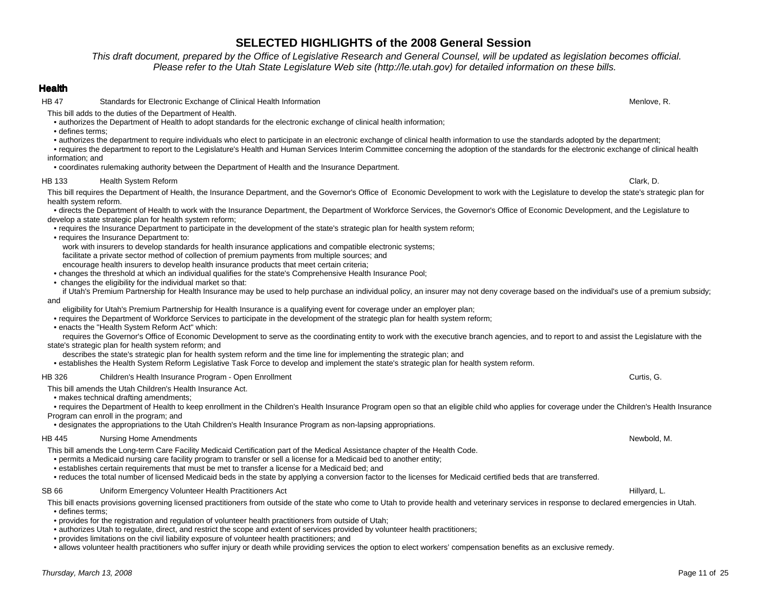This draft document, prepared by the Office of Legislative Research and General Counsel, will be updated as legislation becomes official.Please refer to the Utah State Legislature Web site (http://le.utah.gov) for detailed information on these bills.

### **Health**

**HB 47** Standards for Electronic Exchange of Clinical Health Information n Menlove, R.

This bill adds to the duties of the Department of Health.

• authorizes the Department of Health to adopt standards for the electronic exchange of clinical health information;

• defines terms;

• authorizes the department to require individuals who elect to participate in an electronic exchange of clinical health information to use the standards adopted by the department;

 • requires the department to report to the Legislature's Health and Human Services Interim Committee concerning the adoption of the standards for the electronic exchange of clinical health information; and

• coordinates rulemaking authority between the Department of Health and the Insurance Department.

### HB 133 Health System Reform

 Clark, D. This bill requires the Department of Health, the Insurance Department, and the Governor's Office of Economic Development to work with the Legislature to develop the state's strategic plan for health system reform.

 • directs the Department of Health to work with the Insurance Department, the Department of Workforce Services, the Governor's Office of Economic Development, and the Legislature to develop a state strategic plan for health system reform;

- requires the Insurance Department to participate in the development of the state's strategic plan for health system reform;
- requires the Insurance Department to:

work with insurers to develop standards for health insurance applications and compatible electronic systems;

facilitate a private sector method of collection of premium payments from multiple sources; and

encourage health insurers to develop health insurance products that meet certain criteria;

• changes the threshold at which an individual qualifies for the state's Comprehensive Health Insurance Pool;

• changes the eligibility for the individual market so that:

 if Utah's Premium Partnership for Health Insurance may be used to help purchase an individual policy, an insurer may not deny coverage based on the individual's use of a premium subsidy; and

eligibility for Utah's Premium Partnership for Health Insurance is a qualifying event for coverage under an employer plan;

• requires the Department of Workforce Services to participate in the development of the strategic plan for health system reform;

• enacts the "Health System Reform Act" which:

 requires the Governor's Office of Economic Development to serve as the coordinating entity to work with the executive branch agencies, and to report to and assist the Legislature with the state's strategic plan for health system reform; and

describes the state's strategic plan for health system reform and the time line for implementing the strategic plan; and

• establishes the Health System Reform Legislative Task Force to develop and implement the state's strategic plan for health system reform.

#### HB 326 Children's Health Insurance Program - Open Enrollment Curtis, G. Curtis, G. Curtis, G. Curtis, G. Curtis, G.

This bill amends the Utah Children's Health Insurance Act.

• makes technical drafting amendments;

 • requires the Department of Health to keep enrollment in the Children's Health Insurance Program open so that an eligible child who applies for coverage under the Children's Health Insurance Program can enroll in the program; and

• designates the appropriations to the Utah Children's Health Insurance Program as non-lapsing appropriations.

### HB 445 Nursing Home Amendments

s the controller of the controller of the controller of the controller of the controller of the controller of the controller of the controller of the controller of the controller of the controller of the controller of the This bill amends the Long-term Care Facility Medicaid Certification part of the Medical Assistance chapter of the Health Code.

- permits a Medicaid nursing care facility program to transfer or sell a license for a Medicaid bed to another entity;
- establishes certain requirements that must be met to transfer a license for a Medicaid bed; and
- reduces the total number of licensed Medicaid beds in the state by applying a conversion factor to the licenses for Medicaid certified beds that are transferred.

### SB 66 Uniform Emergency Volunteer Health Practitioners Act **Network Construction Construction** Hillyard, L.

This bill enacts provisions governing licensed practitioners from outside of the state who come to Utah to provide health and veterinary services in response to declared emergencies in Utah.• defines terms;

- provides for the registration and regulation of volunteer health practitioners from outside of Utah;
- authorizes Utah to regulate, direct, and restrict the scope and extent of services provided by volunteer health practitioners;
- provides limitations on the civil liability exposure of volunteer health practitioners; and

• allows volunteer health practitioners who suffer injury or death while providing services the option to elect workers' compensation benefits as an exclusive remedy.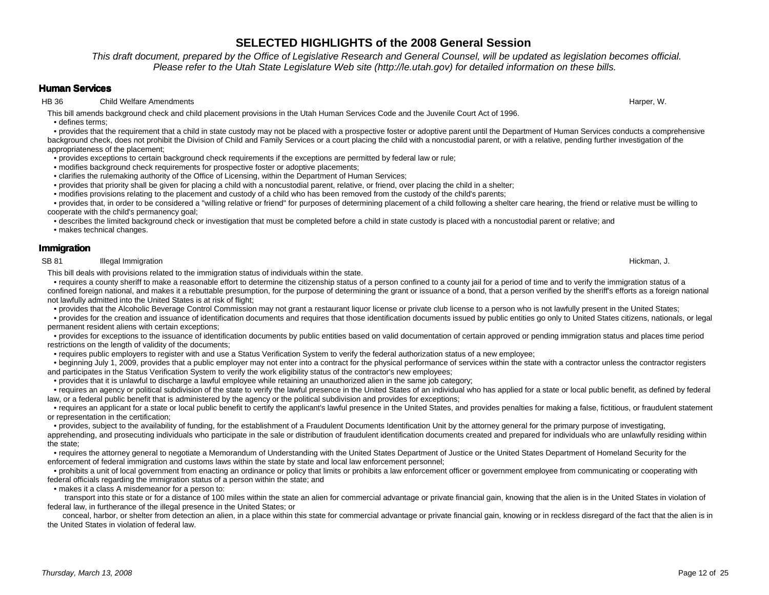This draft document, prepared by the Office of Legislative Research and General Counsel, will be updated as legislation becomes official.Please refer to the Utah State Legislature Web site (http://le.utah.gov) for detailed information on these bills.

## **Human Services**

HB 36 Child Welfare Amendments

This bill amends background check and child placement provisions in the Utah Human Services Code and the Juvenile Court Act of 1996.• defines terms;

 • provides that the requirement that a child in state custody may not be placed with a prospective foster or adoptive parent until the Department of Human Services conducts a comprehensive background check, does not prohibit the Division of Child and Family Services or a court placing the child with a noncustodial parent, or with a relative, pending further investigation of the appropriateness of the placement;

- provides exceptions to certain background check requirements if the exceptions are permitted by federal law or rule;
- modifies background check requirements for prospective foster or adoptive placements;
- clarifies the rulemaking authority of the Office of Licensing, within the Department of Human Services;
- provides that priority shall be given for placing a child with a noncustodial parent, relative, or friend, over placing the child in a shelter;
- modifies provisions relating to the placement and custody of a child who has been removed from the custody of the child's parents;

 • provides that, in order to be considered a "willing relative or friend" for purposes of determining placement of a child following a shelter care hearing, the friend or relative must be willing to cooperate with the child's permanency goal;

• describes the limited background check or investigation that must be completed before a child in state custody is placed with a noncustodial parent or relative; and

• makes technical changes.

## **Immigration**

SB 81 **Illegal Immigration** 

This bill deals with provisions related to the immigration status of individuals within the state.

 • requires a county sheriff to make a reasonable effort to determine the citizenship status of a person confined to a county jail for a period of time and to verify the immigration status of a confined foreign national, and makes it a rebuttable presumption, for the purpose of determining the grant or issuance of a bond, that a person verified by the sheriff's efforts as a foreign national not lawfully admitted into the United States is at risk of flight;

• provides that the Alcoholic Beverage Control Commission may not grant a restaurant liquor license or private club license to a person who is not lawfully present in the United States;

 • provides for the creation and issuance of identification documents and requires that those identification documents issued by public entities go only to United States citizens, nationals, or legal permanent resident aliens with certain exceptions;

 • provides for exceptions to the issuance of identification documents by public entities based on valid documentation of certain approved or pending immigration status and places time period restrictions on the length of validity of the documents;

• requires public employers to register with and use a Status Verification System to verify the federal authorization status of a new employee;

 • beginning July 1, 2009, provides that a public employer may not enter into a contract for the physical performance of services within the state with a contractor unless the contractor registers and participates in the Status Verification System to verify the work eligibility status of the contractor's new employees;

• provides that it is unlawful to discharge a lawful employee while retaining an unauthorized alien in the same job category;

 • requires an agency or political subdivision of the state to verify the lawful presence in the United States of an individual who has applied for a state or local public benefit, as defined by federallaw, or a federal public benefit that is administered by the agency or the political subdivision and provides for exceptions;

 • requires an applicant for a state or local public benefit to certify the applicant's lawful presence in the United States, and provides penalties for making a false, fictitious, or fraudulent statement or representation in the certification;

 • provides, subject to the availability of funding, for the establishment of a Fraudulent Documents Identification Unit by the attorney general for the primary purpose of investigating, apprehending, and prosecuting individuals who participate in the sale or distribution of fraudulent identification documents created and prepared for individuals who are unlawfully residing within the state;

 • requires the attorney general to negotiate a Memorandum of Understanding with the United States Department of Justice or the United States Department of Homeland Security for the enforcement of federal immigration and customs laws within the state by state and local law enforcement personnel;

 • prohibits a unit of local government from enacting an ordinance or policy that limits or prohibits a law enforcement officer or government employee from communicating or cooperating with federal officials regarding the immigration status of a person within the state; and

• makes it a class A misdemeanor for a person to:

 transport into this state or for a distance of 100 miles within the state an alien for commercial advantage or private financial gain, knowing that the alien is in the United States in violation of federal law, in furtherance of the illegal presence in the United States; or

 conceal, harbor, or shelter from detection an alien, in a place within this state for commercial advantage or private financial gain, knowing or in reckless disregard of the fact that the alien is in the United States in violation of federal law.

n and the control of the control of the control of the control of the control of the control of the control of the control of the control of the control of the control of the control of the control of the control of the co

s the contract of the contract of the contract of the contract of the contract of the contract of the contract of the contract of the contract of the contract of the contract of the contract of the contract of the contract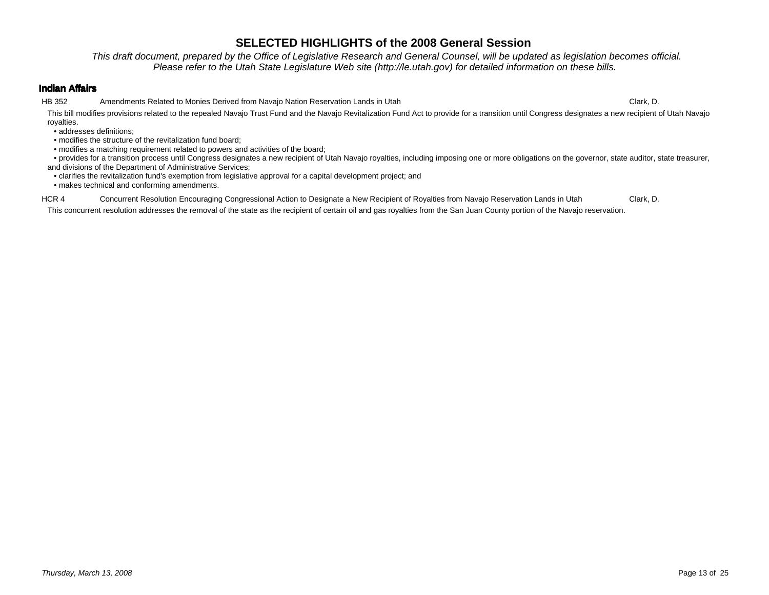This draft document, prepared by the Office of Legislative Research and General Counsel, will be updated as legislation becomes official.Please refer to the Utah State Legislature Web site (http://le.utah.gov) for detailed information on these bills.

### **Indian Affairs**

HB 352 Amendments Related to Monies Derived from Navajo Nation Reservation Lands in Utah

h Clark, D. This bill modifies provisions related to the repealed Navajo Trust Fund and the Navajo Revitalization Fund Act to provide for a transition until Congress designates a new recipient of Utah Navajo royalties.

• addresses definitions;

• modifies the structure of the revitalization fund board;

• modifies a matching requirement related to powers and activities of the board;

 • provides for a transition process until Congress designates a new recipient of Utah Navajo royalties, including imposing one or more obligations on the governor, state auditor, state treasurer, and divisions of the Department of Administrative Services;

• clarifies the revitalization fund's exemption from legislative approval for a capital development project; and

• makes technical and conforming amendments.

HCR 4 Concurrent Resolution Encouraging Congressional Action to Designate a New Recipient of Royalties from Navajo Reservation Lands in Utah Clark, D.

This concurrent resolution addresses the removal of the state as the recipient of certain oil and gas royalties from the San Juan County portion of the Navajo reservation.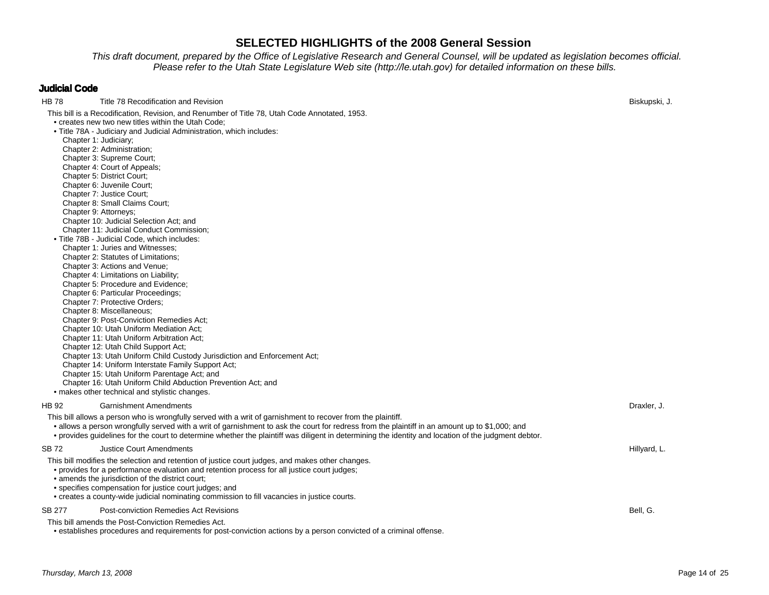.This draft document, prepared by the Office of Legislative Research and General Counsel, will be updated as legislation becomes official.<br>Please refer to the Utah State Legislature Web site (http://le.utah.gov) for detail

## **Judicial Code**

| HB 78  | Title 78 Recodification and Revision                                                                                                                 | Biskupski, J. |
|--------|------------------------------------------------------------------------------------------------------------------------------------------------------|---------------|
|        | This bill is a Recodification, Revision, and Renumber of Title 78, Utah Code Annotated, 1953.                                                        |               |
|        | • creates new two new titles within the Utah Code;                                                                                                   |               |
|        | . Title 78A - Judiciary and Judicial Administration, which includes:                                                                                 |               |
|        | Chapter 1: Judiciary;                                                                                                                                |               |
|        | Chapter 2: Administration;                                                                                                                           |               |
|        | Chapter 3: Supreme Court;<br>Chapter 4: Court of Appeals;                                                                                            |               |
|        | Chapter 5: District Court;                                                                                                                           |               |
|        | Chapter 6: Juvenile Court;                                                                                                                           |               |
|        | Chapter 7: Justice Court;                                                                                                                            |               |
|        | Chapter 8: Small Claims Court;                                                                                                                       |               |
|        | Chapter 9: Attorneys;                                                                                                                                |               |
|        | Chapter 10: Judicial Selection Act; and                                                                                                              |               |
|        | Chapter 11: Judicial Conduct Commission;                                                                                                             |               |
|        | . Title 78B - Judicial Code, which includes:                                                                                                         |               |
|        | Chapter 1: Juries and Witnesses;                                                                                                                     |               |
|        | Chapter 2: Statutes of Limitations;<br>Chapter 3: Actions and Venue;                                                                                 |               |
|        | Chapter 4: Limitations on Liability;                                                                                                                 |               |
|        | Chapter 5: Procedure and Evidence;                                                                                                                   |               |
|        | Chapter 6: Particular Proceedings;                                                                                                                   |               |
|        | Chapter 7: Protective Orders;                                                                                                                        |               |
|        | Chapter 8: Miscellaneous;                                                                                                                            |               |
|        | <b>Chapter 9: Post-Conviction Remedies Act:</b>                                                                                                      |               |
|        | Chapter 10: Utah Uniform Mediation Act;                                                                                                              |               |
|        | Chapter 11: Utah Uniform Arbitration Act;                                                                                                            |               |
|        | Chapter 12: Utah Child Support Act;                                                                                                                  |               |
|        | Chapter 13: Utah Uniform Child Custody Jurisdiction and Enforcement Act;                                                                             |               |
|        | Chapter 14: Uniform Interstate Family Support Act;<br>Chapter 15: Utah Uniform Parentage Act; and                                                    |               |
|        | Chapter 16: Utah Uniform Child Abduction Prevention Act; and                                                                                         |               |
|        | • makes other technical and stylistic changes.                                                                                                       |               |
|        |                                                                                                                                                      |               |
| HB 92  | <b>Garnishment Amendments</b>                                                                                                                        | Draxler, J.   |
|        | This bill allows a person who is wrongfully served with a writ of garnishment to recover from the plaintiff.                                         |               |
|        | • allows a person wrongfully served with a writ of garnishment to ask the court for redress from the plaintiff in an amount up to \$1,000; and       |               |
|        | • provides guidelines for the court to determine whether the plaintiff was diligent in determining the identity and location of the judgment debtor. |               |
| SB 72  | <b>Justice Court Amendments</b>                                                                                                                      | Hillyard, L.  |
|        | This bill modifies the selection and retention of justice court judges, and makes other changes.                                                     |               |
|        | • provides for a performance evaluation and retention process for all justice court judges;                                                          |               |
|        | • amends the jurisdiction of the district court;                                                                                                     |               |
|        | • specifies compensation for justice court judges; and                                                                                               |               |
|        | • creates a county-wide judicial nominating commission to fill vacancies in justice courts.                                                          |               |
| SB 277 | Post-conviction Remedies Act Revisions                                                                                                               | Bell, G.      |
|        | This bill amends the Post-Conviction Remedies Act.                                                                                                   |               |
|        | • establishes procedures and requirements for post-conviction actions by a person convicted of a criminal offense.                                   |               |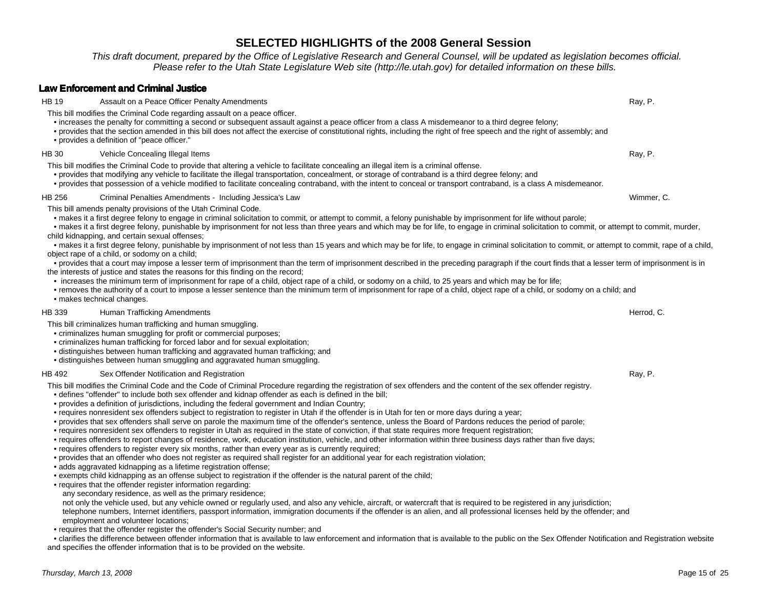This draft document, prepared by the Office of Legislative Research and General Counsel, will be updated as legislation becomes official.Please refer to the Utah State Legislature Web site (http://le.utah.gov) for detailed information on these bills.

s and the contract of the contract of the contract of the contract of the contract of the contract of the contract of the contract of the contract of the contract of the contract of the contract of the contract of the cont

### **Law Enforcement and Criminal Justice**

This bill modifies the Criminal Code regarding assault on a peace officer.• increases the penalty for committing a second or subsequent assault against a peace officer from a class A misdemeanor to a third degree felony;

- provides that the section amended in this bill does not affect the exercise of constitutional rights, including the right of free speech and the right of assembly; and
- provides a definition of "peace officer."

#### HB 30 Vehicle Concealing Illegal Items example, the control of the control of the control of the control of the control of the control of the control of the control of the control of the control of the control of the control of the control of the control of the

This bill modifies the Criminal Code to provide that altering a vehicle to facilitate concealing an illegal item is a criminal offense.

- provides that modifying any vehicle to facilitate the illegal transportation, concealment, or storage of contraband is a third degree felony; and
- provides that possession of a vehicle modified to facilitate concealing contraband, with the intent to conceal or transport contraband, is a class A misdemeanor.

#### HB 256 Criminal Penalties Amendments - Including Jessica's Laww Wimmer, C.

This bill amends penalty provisions of the Utah Criminal Code.

HB 19 **Assault on a Peace Officer Penalty Amendments** 

• makes it a first degree felony to engage in criminal solicitation to commit, or attempt to commit, a felony punishable by imprisonment for life without parole;

 • makes it a first degree felony, punishable by imprisonment for not less than three years and which may be for life, to engage in criminal solicitation to commit, or attempt to commit, murder, child kidnapping, and certain sexual offenses;

 • makes it a first degree felony, punishable by imprisonment of not less than 15 years and which may be for life, to engage in criminal solicitation to commit, or attempt to commit, rape of a child, object rape of a child, or sodomy on a child;

- • provides that a court may impose a lesser term of imprisonment than the term of imprisonment described in the preceding paragraph if the court finds that a lesser term of imprisonment is in the interests of justice and states the reasons for this finding on the record;
- increases the minimum term of imprisonment for rape of a child, object rape of a child, or sodomy on a child, to 25 years and which may be for life;
- • removes the authority of a court to impose a lesser sentence than the minimum term of imprisonment for rape of a child, object rape of a child, or sodomy on a child; and• makes technical changes.

#### HB 339 Human Trafficking Amendments

This bill criminalizes human trafficking and human smuggling.

- criminalizes human smuggling for profit or commercial purposes;
- criminalizes human trafficking for forced labor and for sexual exploitation;
- distinguishes between human trafficking and aggravated human trafficking; and
- distinguishes between human smuggling and aggravated human smuggling.

### HB 492 Sex Offender Notification and Registration

n and the control of the control of the control of the control of the control of the control of the control of the control of the control of the control of the control of the control of the control of the control of the co This bill modifies the Criminal Code and the Code of Criminal Procedure regarding the registration of sex offenders and the content of the sex offender registry.

- defines "offender" to include both sex offender and kidnap offender as each is defined in the bill;
- provides a definition of jurisdictions, including the federal government and Indian Country;
- requires nonresident sex offenders subject to registration to register in Utah if the offender is in Utah for ten or more days during a year;
- provides that sex offenders shall serve on parole the maximum time of the offender's sentence, unless the Board of Pardons reduces the period of parole;
- requires nonresident sex offenders to register in Utah as required in the state of conviction, if that state requires more frequent registration;
- requires offenders to report changes of residence, work, education institution, vehicle, and other information within three business days rather than five days;
- requires offenders to register every six months, rather than every year as is currently required;
- provides that an offender who does not register as required shall register for an additional year for each registration violation;
- adds aggravated kidnapping as a lifetime registration offense;
- exempts child kidnapping as an offense subject to registration if the offender is the natural parent of the child;
- requires that the offender register information regarding:
- any secondary residence, as well as the primary residence;

 not only the vehicle used, but any vehicle owned or regularly used, and also any vehicle, aircraft, or watercraft that is required to be registered in any jurisdiction; telephone numbers, Internet identifiers, passport information, immigration documents if the offender is an alien, and all professional licenses held by the offender; andemployment and volunteer locations;

• requires that the offender register the offender's Social Security number; and

 • clarifies the difference between offender information that is available to law enforcement and information that is available to the public on the Sex Offender Notification and Registration website and specifies the offender information that is to be provided on the website.

s and the control of the control of the control of the control of the control of the control of the control of the control of the control of the control of the control of the control of the control of the control of the co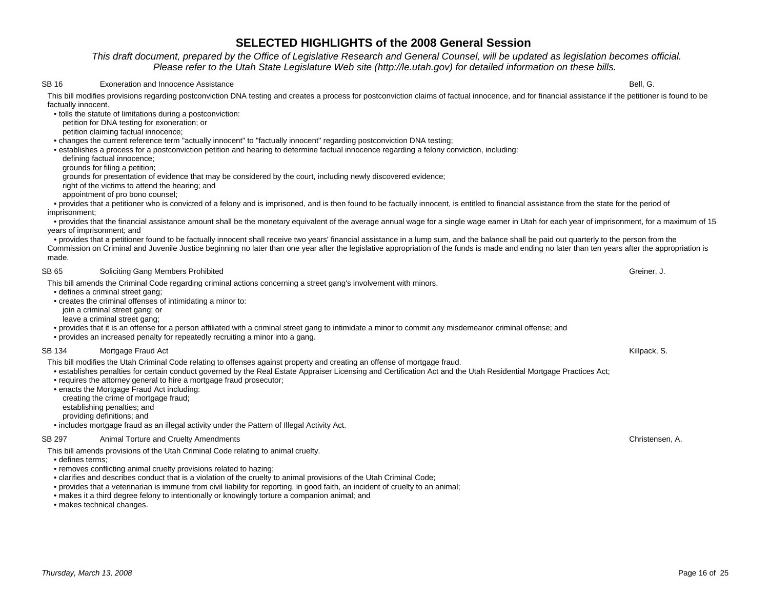This draft document, prepared by the Office of Legislative Research and General Counsel, will be updated as legislation becomes official.Please refer to the Utah State Legislature Web site (http://le.utah.gov) for detailed information on these bills.

#### SB 16 Exoneration and Innocence Assistance

e bell, G. Santa Constantinople of the constant of the constant of the constant of the Bell, G. Santa Constantinople of the constant of the constant of the constant of the constant of the constant of the constant of the co This bill modifies provisions regarding postconviction DNA testing and creates a process for postconviction claims of factual innocence, and for financial assistance if the petitioner is found to be factually innocent.

• tolls the statute of limitations during a postconviction:

petition for DNA testing for exoneration; or

petition claiming factual innocence;

• changes the current reference term "actually innocent" to "factually innocent" regarding postconviction DNA testing;

• establishes a process for a postconviction petition and hearing to determine factual innocence regarding a felony conviction, including:

defining factual innocence;

grounds for filing a petition;

grounds for presentation of evidence that may be considered by the court, including newly discovered evidence;

right of the victims to attend the hearing; and

appointment of pro bono counsel;

 • provides that a petitioner who is convicted of a felony and is imprisoned, and is then found to be factually innocent, is entitled to financial assistance from the state for the period of imprisonment;

 • provides that the financial assistance amount shall be the monetary equivalent of the average annual wage for a single wage earner in Utah for each year of imprisonment, for a maximum of 15 years of imprisonment; and

 • provides that a petitioner found to be factually innocent shall receive two years' financial assistance in a lump sum, and the balance shall be paid out quarterly to the person from the Commission on Criminal and Juvenile Justice beginning no later than one year after the legislative appropriation of the funds is made and ending no later than ten years after the appropriation is made.

#### SB 65 Soliciting Gang Members Prohibited

d Greiner, J. (1999) and the contract of the contract of the contract of the contract of the contract of the contract of the contract of the contract of the contract of the contract of the contract of the contract of the c This bill amends the Criminal Code regarding criminal actions concerning a street gang's involvement with minors.

• defines a criminal street gang;

• creates the criminal offenses of intimidating a minor to:

join a criminal street gang; or

leave a criminal street gang;

• provides that it is an offense for a person affiliated with a criminal street gang to intimidate a minor to commit any misdemeanor criminal offense; and

• provides an increased penalty for repeatedly recruiting a minor into a gang.

#### SB 134 Mortgage Fraud Act Killpack, S.

This bill modifies the Utah Criminal Code relating to offenses against property and creating an offense of mortgage fraud.

• establishes penalties for certain conduct governed by the Real Estate Appraiser Licensing and Certification Act and the Utah Residential Mortgage Practices Act;

- requires the attorney general to hire a mortgage fraud prosecutor;
- enacts the Mortgage Fraud Act including:

creating the crime of mortgage fraud;

establishing penalties; and

providing definitions; and

• includes mortgage fraud as an illegal activity under the Pattern of Illegal Activity Act.

#### SB 297 Animal Torture and Cruelty Amendments

This bill amends provisions of the Utah Criminal Code relating to animal cruelty.

• defines terms;

- removes conflicting animal cruelty provisions related to hazing;
- clarifies and describes conduct that is a violation of the cruelty to animal provisions of the Utah Criminal Code;
- provides that a veterinarian is immune from civil liability for reporting, in good faith, an incident of cruelty to an animal;
- makes it a third degree felony to intentionally or knowingly torture a companion animal; and
- makes technical changes.

Christensen, A.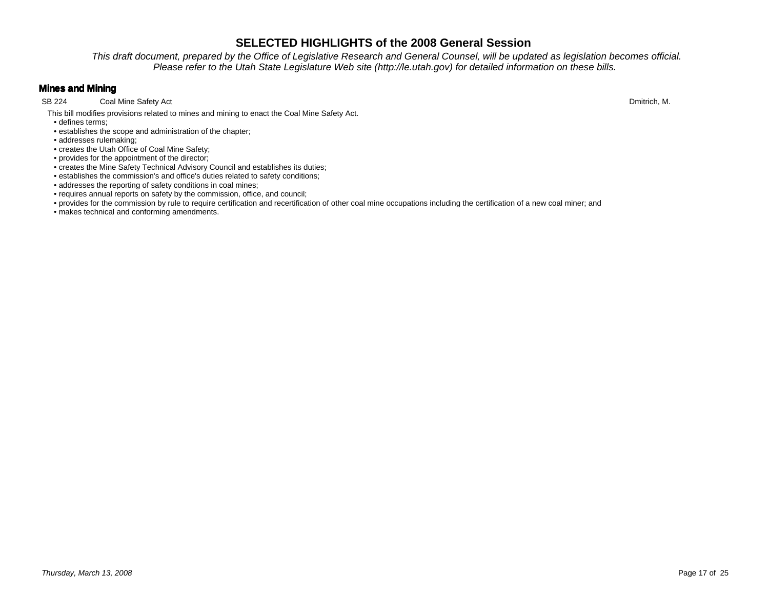This draft document, prepared by the Office of Legislative Research and General Counsel, will be updated as legislation becomes official.Please refer to the Utah State Legislature Web site (http://le.utah.gov) for detailed information on these bills.

## **Mines and Mining**

Coal Mine Safety Act SB 224 Coal Mine Safety Act Dmitrich, M.

This bill modifies provisions related to mines and mining to enact the Coal Mine Safety Act.

- defines terms;• establishes the scope and administration of the chapter;
- addresses rulemaking;
- creates the Utah Office of Coal Mine Safety;
- provides for the appointment of the director;
- creates the Mine Safety Technical Advisory Council and establishes its duties;
- establishes the commission's and office's duties related to safety conditions;
- addresses the reporting of safety conditions in coal mines;
- requires annual reports on safety by the commission, office, and council;
- provides for the commission by rule to require certification and recertification of other coal mine occupations including the certification of a new coal miner; and
- makes technical and conforming amendments.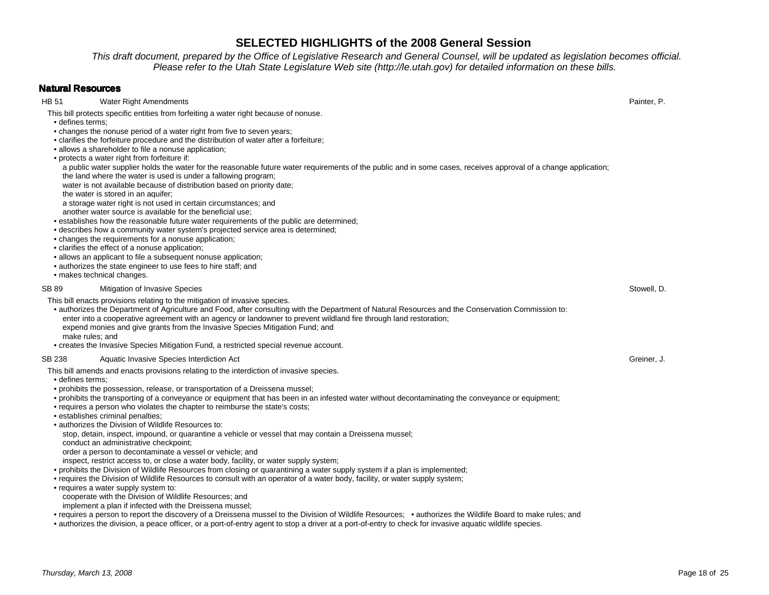This draft document, prepared by the Office of Legislative Research and General Counsel, will be updated as legislation becomes official.Please refer to the Utah State Legislature Web site (http://le.utah.gov) for detailed information on these bills.

### **Natural Resources**

HB 51 Water Right Amendments

This bill protects specific entities from forfeiting a water right because of nonuse.

- defines terms;
- changes the nonuse period of a water right from five to seven years;
- clarifies the forfeiture procedure and the distribution of water after a forfeiture;
- allows a shareholder to file a nonuse application;
- protects a water right from forfeiture if:
- a public water supplier holds the water for the reasonable future water requirements of the public and in some cases, receives approval of a change application;

the land where the water is used is under a fallowing program;

water is not available because of distribution based on priority date;

the water is stored in an aquifer;

a storage water right is not used in certain circumstances; and

another water source is available for the beneficial use;

- establishes how the reasonable future water requirements of the public are determined;
- describes how a community water system's projected service area is determined;
- changes the requirements for a nonuse application;
- clarifies the effect of a nonuse application;
- allows an applicant to file a subsequent nonuse application;
- authorizes the state engineer to use fees to hire staff; and
- makes technical changes.

SB 89 Mitigation of Invasive Species s the state of the state of the state of the state of the state of the state of the Stowell, D.

This bill enacts provisions relating to the mitigation of invasive species.

 • authorizes the Department of Agriculture and Food, after consulting with the Department of Natural Resources and the Conservation Commission to: enter into a cooperative agreement with an agency or landowner to prevent wildland fire through land restoration;expend monies and give grants from the Invasive Species Mitigation Fund; and

make rules; and

• creates the Invasive Species Mitigation Fund, a restricted special revenue account.

### SB 238 Aquatic Invasive Species Interdiction Act Act Creiner, J. Sample 3 and Section Act Greiner, J.

This bill amends and enacts provisions relating to the interdiction of invasive species.

• defines terms;

- prohibits the possession, release, or transportation of a Dreissena mussel;
- prohibits the transporting of a conveyance or equipment that has been in an infested water without decontaminating the conveyance or equipment;
- requires a person who violates the chapter to reimburse the state's costs;
- establishes criminal penalties;
- authorizes the Division of Wildlife Resources to:

stop, detain, inspect, impound, or quarantine a vehicle or vessel that may contain a Dreissena mussel;

conduct an administrative checkpoint;

order a person to decontaminate a vessel or vehicle; and

inspect, restrict access to, or close a water body, facility, or water supply system;

• prohibits the Division of Wildlife Resources from closing or quarantining a water supply system if a plan is implemented;

• requires the Division of Wildlife Resources to consult with an operator of a water body, facility, or water supply system;

 • requires a water supply system to:cooperate with the Division of Wildlife Resources; and

implement a plan if infected with the Dreissena mussel;

• requires a person to report the discovery of a Dreissena mussel to the Division of Wildlife Resources; • authorizes the Wildlife Board to make rules; and

• authorizes the division, a peace officer, or a port-of-entry agent to stop a driver at a port-of-entry to check for invasive aquatic wildlife species.

s and the contract of the contract of the contract of the contract of the contract of the contract of the contract of  $P$  and  $P$  and  $P$  and  $P$  and  $P$  and  $P$  and  $P$  and  $P$  and  $P$  and  $P$  and  $P$  and  $P$  and  $P$  and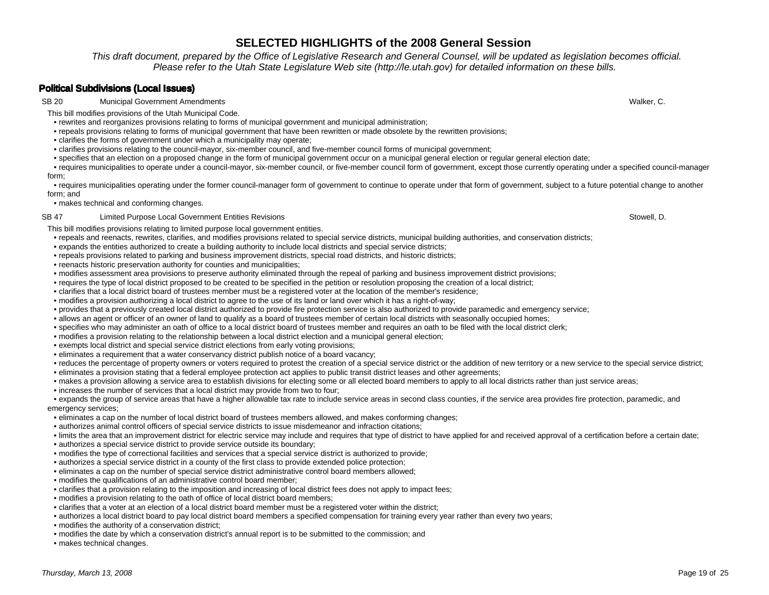This draft document, prepared by the Office of Legislative Research and General Counsel, will be updated as legislation becomes official.Please refer to the Utah State Legislature Web site (http://le.utah.gov) for detailed information on these bills.

## **Political Subdivisions (Local Issues)**

SB 20 Municipal Government Amendments

This bill modifies provisions of the Utah Municipal Code.

- rewrites and reorganizes provisions relating to forms of municipal government and municipal administration;
- repeals provisions relating to forms of municipal government that have been rewritten or made obsolete by the rewritten provisions;
- clarifies the forms of government under which a municipality may operate;
- clarifies provisions relating to the council-mayor, six-member council, and five-member council forms of municipal government;
- specifies that an election on a proposed change in the form of municipal government occur on a municipal general election or regular general election date;

 • requires municipalities to operate under a council-mayor, six-member council, or five-member council form of government, except those currently operating under a specified council-manager form;

 • requires municipalities operating under the former council-manager form of government to continue to operate under that form of government, subject to a future potential change to another form; and

• makes technical and conforming changes.

### SB 47 Limited Purpose Local Government Entities Revisions

This bill modifies provisions relating to limited purpose local government entities.

- repeals and reenacts, rewrites, clarifies, and modifies provisions related to special service districts, municipal building authorities, and conservation districts;
- expands the entities authorized to create a building authority to include local districts and special service districts;
- repeals provisions related to parking and business improvement districts, special road districts, and historic districts;
- reenacts historic preservation authority for counties and municipalities;
- modifies assessment area provisions to preserve authority eliminated through the repeal of parking and business improvement district provisions;
- requires the type of local district proposed to be created to be specified in the petition or resolution proposing the creation of a local district;
- clarifies that a local district board of trustees member must be a registered voter at the location of the member's residence;
- modifies a provision authorizing a local district to agree to the use of its land or land over which it has a right-of-way;
- provides that a previously created local district authorized to provide fire protection service is also authorized to provide paramedic and emergency service;
- allows an agent or officer of an owner of land to qualify as a board of trustees member of certain local districts with seasonally occupied homes;
- specifies who may administer an oath of office to a local district board of trustees member and requires an oath to be filed with the local district clerk;
- modifies a provision relating to the relationship between a local district election and a municipal general election;
- exempts local district and special service district elections from early voting provisions;
- eliminates a requirement that a water conservancy district publish notice of a board vacancy;
- reduces the percentage of property owners or voters required to protest the creation of a special service district or the addition of new territory or a new service to the special service district;
- eliminates a provision stating that a federal employee protection act applies to public transit district leases and other agreements;
- makes a provision allowing a service area to establish divisions for electing some or all elected board members to apply to all local districts rather than just service areas;
- increases the number of services that a local district may provide from two to four;

 • expands the group of service areas that have a higher allowable tax rate to include service areas in second class counties, if the service area provides fire protection, paramedic, and emergency services;

- eliminates a cap on the number of local district board of trustees members allowed, and makes conforming changes;
- authorizes animal control officers of special service districts to issue misdemeanor and infraction citations;
- limits the area that an improvement district for electric service may include and requires that type of district to have applied for and received approval of a certification before a certain date;
- authorizes a special service district to provide service outside its boundary;
- modifies the type of correctional facilities and services that a special service district is authorized to provide;
- authorizes a special service district in a county of the first class to provide extended police protection;
- eliminates a cap on the number of special service district administrative control board members allowed;
- modifies the qualifications of an administrative control board member;
- clarifies that a provision relating to the imposition and increasing of local district fees does not apply to impact fees;
- modifies a provision relating to the oath of office of local district board members;
- clarifies that a voter at an election of a local district board member must be a registered voter within the district;
- authorizes a local district board to pay local district board members a specified compensation for training every year rather than every two years;
- modifies the authority of a conservation district;
- modifies the date by which a conservation district's annual report is to be submitted to the commission; and
- makes technical changes.

s and the control of the control of the control of the control of the control of the control of the control of the control of the control of the control of the control of the control of the control of the control of the co

s and the state of the state of the state of the state of the state of the Stowell, D.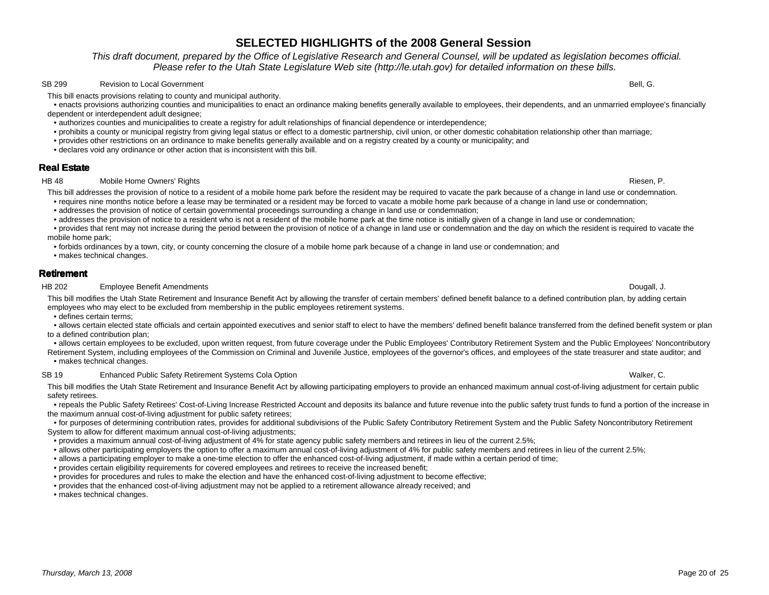## Thursday, March 13, 2008

## **SELECTED HIGHLIGHTS of the 2008 General Session**

 This draft document, prepared by the Office of Legislative Research and General Counsel, will be updated as legislation becomes official.Please refer to the Utah State Legislature Web site (http://le.utah.gov) for detailed information on these bills.

#### SB 299 Revision to Local Government **Bell**, G.

This bill enacts provisions relating to county and municipal authority.

 • enacts provisions authorizing counties and municipalities to enact an ordinance making benefits generally available to employees, their dependents, and an unmarried employee's financially dependent or interdependent adult designee;

- authorizes counties and municipalities to create a registry for adult relationships of financial dependence or interdependence;
- prohibits a county or municipal registry from giving legal status or effect to a domestic partnership, civil union, or other domestic cohabitation relationship other than marriage;
- provides other restrictions on an ordinance to make benefits generally available and on a registry created by a county or municipality; and
- declares void any ordinance or other action that is inconsistent with this bill.

## **Real Estate**

#### HB 48 Mobile Home Owners' Rights ende to the control of the control of the control of the control of the control of the control of the control of the control of the control of the control of the control of the control of the control of the control of the

This bill addresses the provision of notice to a resident of a mobile home park before the resident may be required to vacate the park because of a change in land use or condemnation.

• requires nine months notice before a lease may be terminated or a resident may be forced to vacate a mobile home park because of a change in land use or condemnation;

• addresses the provision of notice of certain governmental proceedings surrounding a change in land use or condemnation;

• addresses the provision of notice to a resident who is not a resident of the mobile home park at the time notice is initially given of a change in land use or condemnation;

 • provides that rent may not increase during the period between the provision of notice of a change in land use or condemnation and the day on which the resident is required to vacate the mobile home park;

• forbids ordinances by a town, city, or county concerning the closure of a mobile home park because of a change in land use or condemnation; and

• makes technical changes.

### **Retirement**

HB 202 Employee Benefit Amendments

s and the control of the control of the control of the control of the control of the control of the control of the control of the control of the control of the control of the control of the control of the control of the co This bill modifies the Utah State Retirement and Insurance Benefit Act by allowing the transfer of certain members' defined benefit balance to a defined contribution plan, by adding certain employees who may elect to be excluded from membership in the public employees retirement systems.

• defines certain terms;

 • allows certain elected state officials and certain appointed executives and senior staff to elect to have the members' defined benefit balance transferred from the defined benefit system or plan to a defined contribution plan;

 • allows certain employees to be excluded, upon written request, from future coverage under the Public Employees' Contributory Retirement System and the Public Employees' Noncontributory Retirement System, including employees of the Commission on Criminal and Juvenile Justice, employees of the governor's offices, and employees of the state treasurer and state auditor; and

• makes technical changes.

### SB 19 Enhanced Public Safety Retirement Systems Cola Option

This bill modifies the Utah State Retirement and Insurance Benefit Act by allowing participating employers to provide an enhanced maximum annual cost-of-living adjustment for certain public safety retirees.

 • repeals the Public Safety Retirees' Cost-of-Living Increase Restricted Account and deposits its balance and future revenue into the public safety trust funds to fund a portion of the increase in the maximum annual cost-of-living adjustment for public safety retirees;

 • for purposes of determining contribution rates, provides for additional subdivisions of the Public Safety Contributory Retirement System and the Public Safety Noncontributory Retirement System to allow for different maximum annual cost-of-living adjustments;

• provides a maximum annual cost-of-living adjustment of 4% for state agency public safety members and retirees in lieu of the current 2.5%;

• allows other participating employers the option to offer a maximum annual cost-of-living adjustment of 4% for public safety members and retirees in lieu of the current 2.5%;

• allows a participating employer to make a one-time election to offer the enhanced cost-of-living adjustment, if made within a certain period of time;

• provides certain eligibility requirements for covered employees and retirees to receive the increased benefit;

• provides for procedures and rules to make the election and have the enhanced cost-of-living adjustment to become effective;

• provides that the enhanced cost-of-living adjustment may not be applied to a retirement allowance already received; and

• makes technical changes.

n and the control of the control of the control of the control of the control of the control of the control of the control of the control of the control of the control of the control of the control of the control of the co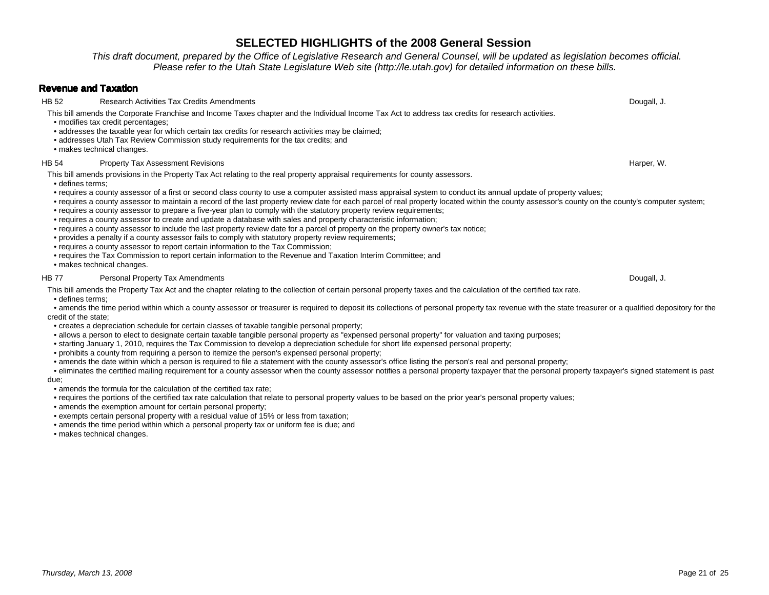This draft document, prepared by the Office of Legislative Research and General Counsel, will be updated as legislation becomes official.Please refer to the Utah State Legislature Web site (http://le.utah.gov) for detailed information on these bills.

### **Revenue and Taxation**

 HB 52 Research Activities Tax Credits Amendmentss and the control of the control of the control of the control of the control of the control of the control of the control of the control of the control of the control of the control of the control of the control of the co This bill amends the Corporate Franchise and Income Taxes chapter and the Individual Income Tax Act to address tax credits for research activities.

- modifies tax credit percentages;
- addresses the taxable year for which certain tax credits for research activities may be claimed;
- addresses Utah Tax Review Commission study requirements for the tax credits; and
- makes technical changes.

#### HB 54 Property Tax Assessment Revisions

This bill amends provisions in the Property Tax Act relating to the real property appraisal requirements for county assessors.

- defines terms;
- requires a county assessor of a first or second class county to use a computer assisted mass appraisal system to conduct its annual update of property values;
- requires a county assessor to maintain a record of the last property review date for each parcel of real property located within the county assessor's county on the county's computer system;
- requires a county assessor to prepare a five-year plan to comply with the statutory property review requirements;
- requires a county assessor to create and update a database with sales and property characteristic information;
- requires a county assessor to include the last property review date for a parcel of property on the property owner's tax notice;
- provides a penalty if a county assessor fails to comply with statutory property review requirements;
- requires a county assessor to report certain information to the Tax Commission;
- requires the Tax Commission to report certain information to the Revenue and Taxation Interim Committee; and
- makes technical changes.

#### HB 77 Personal Property Tax Amendments

This bill amends the Property Tax Act and the chapter relating to the collection of certain personal property taxes and the calculation of the certified tax rate.

• defines terms;

 • amends the time period within which a county assessor or treasurer is required to deposit its collections of personal property tax revenue with the state treasurer or a qualified depository for the credit of the state;

- creates a depreciation schedule for certain classes of taxable tangible personal property;
- allows a person to elect to designate certain taxable tangible personal property as "expensed personal property" for valuation and taxing purposes;
- starting January 1, 2010, requires the Tax Commission to develop a depreciation schedule for short life expensed personal property;
- prohibits a county from requiring a person to itemize the person's expensed personal property;
- amends the date within which a person is required to file a statement with the county assessor's office listing the person's real and personal property;

 • eliminates the certified mailing requirement for a county assessor when the county assessor notifies a personal property taxpayer that the personal property taxpayer's signed statement is past due;

- amends the formula for the calculation of the certified tax rate;
- requires the portions of the certified tax rate calculation that relate to personal property values to be based on the prior year's personal property values;
- amends the exemption amount for certain personal property;
- exempts certain personal property with a residual value of 15% or less from taxation;
- amends the time period within which a personal property tax or uniform fee is due; and
- makes technical changes.

s and the control of the control of the control of the control of the control of the control of the control of the control of the control of the control of the control of the control of the control of the control of the co

s and the contract of the contract of the contract of the contract of the contract of the contract of the contract of the contract of the contract of the contract of the contract of the contract of the contract of the cont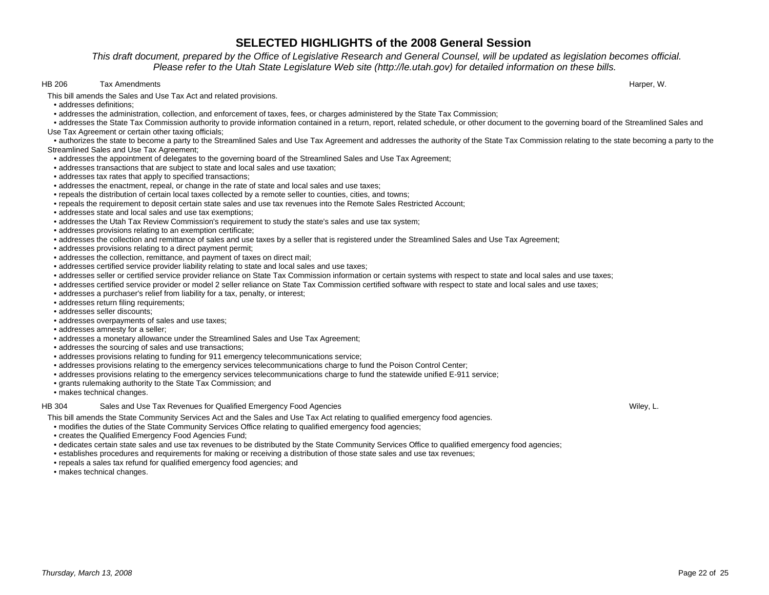This draft document, prepared by the Office of Legislative Research and General Counsel, will be updated as legislation becomes official.Please refer to the Utah State Legislature Web site (http://le.utah.gov) for detailed information on these bills.

#### HB 206 Tax Amendments

s the contract of the contract of the contract of the contract of the contract of the contract of the contract of the contract of the contract of the contract of the contract of the contract of the contract of the contract

- This bill amends the Sales and Use Tax Act and related provisions.
- addresses definitions;
- addresses the administration, collection, and enforcement of taxes, fees, or charges administered by the State Tax Commission;

 • addresses the State Tax Commission authority to provide information contained in a return, report, related schedule, or other document to the governing board of the Streamlined Sales and Use Tax Agreement or certain other taxing officials;

 • authorizes the state to become a party to the Streamlined Sales and Use Tax Agreement and addresses the authority of the State Tax Commission relating to the state becoming a party to the Streamlined Sales and Use Tax Agreement;

- addresses the appointment of delegates to the governing board of the Streamlined Sales and Use Tax Agreement;
- addresses transactions that are subject to state and local sales and use taxation;
- addresses tax rates that apply to specified transactions;
- addresses the enactment, repeal, or change in the rate of state and local sales and use taxes;
- repeals the distribution of certain local taxes collected by a remote seller to counties, cities, and towns;
- repeals the requirement to deposit certain state sales and use tax revenues into the Remote Sales Restricted Account;
- addresses state and local sales and use tax exemptions;
- addresses the Utah Tax Review Commission's requirement to study the state's sales and use tax system;
- addresses provisions relating to an exemption certificate;
- addresses the collection and remittance of sales and use taxes by a seller that is registered under the Streamlined Sales and Use Tax Agreement;
- addresses provisions relating to a direct payment permit;
- addresses the collection, remittance, and payment of taxes on direct mail;
- addresses certified service provider liability relating to state and local sales and use taxes;
- addresses seller or certified service provider reliance on State Tax Commission information or certain systems with respect to state and local sales and use taxes;
- addresses certified service provider or model 2 seller reliance on State Tax Commission certified software with respect to state and local sales and use taxes;
- addresses a purchaser's relief from liability for a tax, penalty, or interest;
- addresses return filing requirements;
- addresses seller discounts;
- addresses overpayments of sales and use taxes;
- addresses amnesty for a seller;
- addresses a monetary allowance under the Streamlined Sales and Use Tax Agreement;
- addresses the sourcing of sales and use transactions;
- addresses provisions relating to funding for 911 emergency telecommunications service;
- addresses provisions relating to the emergency services telecommunications charge to fund the Poison Control Center;
- addresses provisions relating to the emergency services telecommunications charge to fund the statewide unified E-911 service;
- grants rulemaking authority to the State Tax Commission; and
- makes technical changes.

#### HB 304 Sales and Use Tax Revenues for Qualified Emergency Food Agencies

This bill amends the State Community Services Act and the Sales and Use Tax Act relating to qualified emergency food agencies.

• modifies the duties of the State Community Services Office relating to qualified emergency food agencies;

- creates the Qualified Emergency Food Agencies Fund;
- dedicates certain state sales and use tax revenues to be distributed by the State Community Services Office to qualified emergency food agencies;
- establishes procedures and requirements for making or receiving a distribution of those state sales and use tax revenues;
- repeals a sales tax refund for qualified emergency food agencies; and
- makes technical changes.

s will be a set of the contract of the contract of the contract of the contract of the contract of the contract of the contract of the contract of the contract of the contract of the contract of the contract of the contrac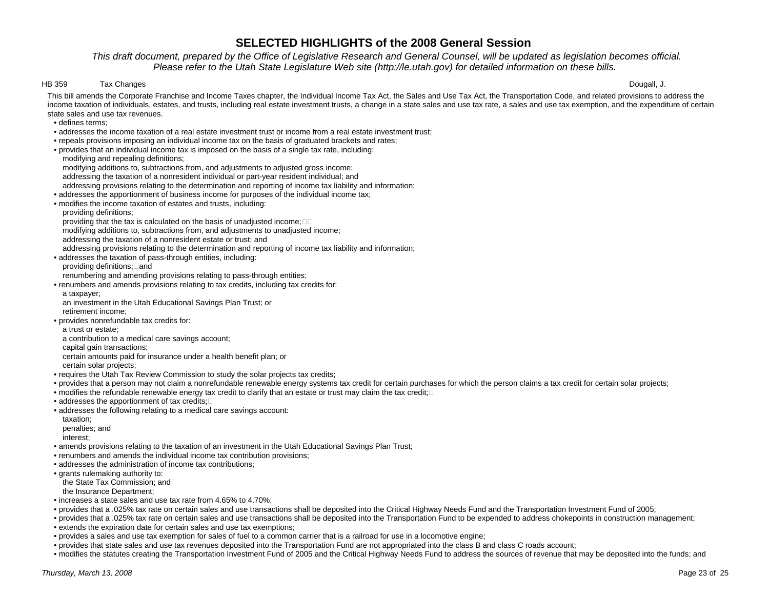### This draft document, prepared by the Office of Legislative Research and General Counsel, will be updated as legislation becomes official.Please refer to the Utah State Legislature Web site (http://le.utah.gov) for detailed information on these bills.

#### HB 359 Tax Changes

s the contract of the contract of the contract of the contract of the contract of the contract of the contract of the contract of the contract of the contract of the contract of the contract of the contract of the contract

This bill amends the Corporate Franchise and Income Taxes chapter, the Individual Income Tax Act, the Sales and Use Tax Act, the Transportation Code, and related provisions to address the income taxation of individuals, estates, and trusts, including real estate investment trusts, a change in a state sales and use tax rate, a sales and use tax exemption, and the expenditure of certain state sales and use tax revenues.

- defines terms;
- addresses the income taxation of a real estate investment trust or income from a real estate investment trust;
- repeals provisions imposing an individual income tax on the basis of graduated brackets and rates;
- provides that an individual income tax is imposed on the basis of a single tax rate, including:modifying and repealing definitions;
- modifying additions to, subtractions from, and adjustments to adjusted gross income;addressing the taxation of a nonresident individual or part-year resident individual; and
- addressing provisions relating to the determination and reporting of income tax liability and information;
- addresses the apportionment of business income for purposes of the individual income tax;
- modifies the income taxation of estates and trusts, including:
	- providing definitions;
- providing that the tax is calculated on the basis of unadjusted income;
- modifying additions to, subtractions from, and adjustments to unadjusted income;
	- addressing the taxation of a nonresident estate or trust; and
- addressing provisions relating to the determination and reporting of income tax liability and information;
- addresses the taxation of pass-through entities, including:
- providing definitions; and
- renumbering and amending provisions relating to pass-through entities;
- • renumbers and amends provisions relating to tax credits, including tax credits for:
	- a taxpayer;
- an investment in the Utah Educational Savings Plan Trust; orretirement income;
- • provides nonrefundable tax credits for:
	- a trust or estate;
- a contribution to a medical care savings account;
	- capital gain transactions;
- certain amounts paid for insurance under a health benefit plan; or
	- certain solar projects;
- requires the Utah Tax Review Commission to study the solar projects tax credits;
- provides that a person may not claim a nonrefundable renewable energy systems tax credit for certain purchases for which the person claims a tax credit for certain solar projects;
- modifies the refundable renewable energy tax credit to clarify that an estate or trust may claim the tax credit;
- addresses the apportionment of tax credits;
- • addresses the following relating to a medical care savings account:
	- taxation;
- penalties; and
	- interest;
- amends provisions relating to the taxation of an investment in the Utah Educational Savings Plan Trust;
- renumbers and amends the individual income tax contribution provisions;
- addresses the administration of income tax contributions;
- grants rulemaking authority to:
- the State Tax Commission; and
	- the Insurance Department;
- increases a state sales and use tax rate from 4.65% to 4.70%;
- provides that a .025% tax rate on certain sales and use transactions shall be deposited into the Critical Highway Needs Fund and the Transportation Investment Fund of 2005;
- • provides that a .025% tax rate on certain sales and use transactions shall be deposited into the Transportation Fund to be expended to address chokepoints in construction management;• extends the expiration date for certain sales and use tax exemptions;
- provides a sales and use tax exemption for sales of fuel to a common carrier that is a railroad for use in a locomotive engine;
- provides that state sales and use tax revenues deposited into the Transportation Fund are not appropriated into the class B and class C roads account;
- modifies the statutes creating the Transportation Investment Fund of 2005 and the Critical Highway Needs Fund to address the sources of revenue that may be deposited into the funds; and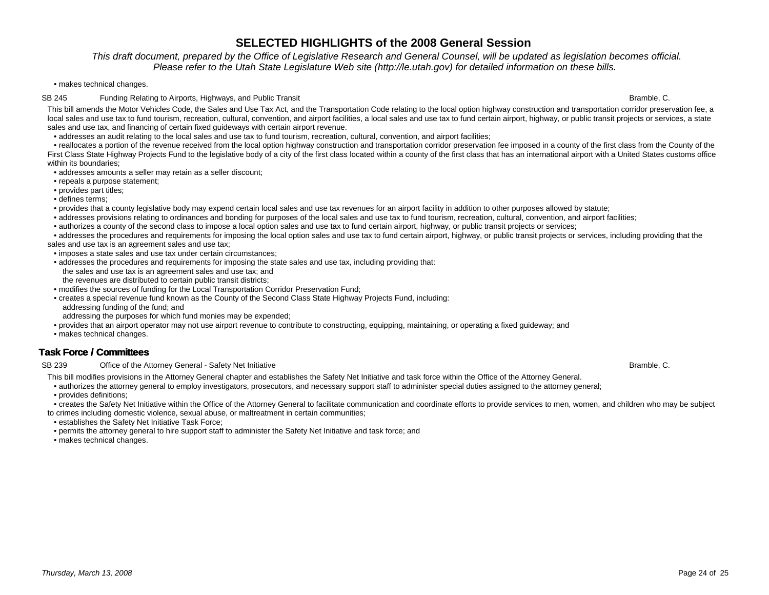This draft document, prepared by the Office of Legislative Research and General Counsel, will be updated as legislation becomes official.Please refer to the Utah State Legislature Web site (http://le.utah.gov) for detailed information on these bills.

• makes technical changes.

#### SB 245 Funding Relating to Airports, Highways, and Public Transit Bramble, C. San Funding Relating to Airports, Highways, and Public Transit Bramble, C.

This bill amends the Motor Vehicles Code, the Sales and Use Tax Act, and the Transportation Code relating to the local option highway construction and transportation corridor preservation fee, a local sales and use tax to fund tourism, recreation, cultural, convention, and airport facilities, a local sales and use tax to fund certain airport, highway, or public transit projects or services, a state sales and use tax, and financing of certain fixed guideways with certain airport revenue.

• addresses an audit relating to the local sales and use tax to fund tourism, recreation, cultural, convention, and airport facilities;

 • reallocates a portion of the revenue received from the local option highway construction and transportation corridor preservation fee imposed in a county of the first class from the County of the First Class State Highway Projects Fund to the legislative body of a city of the first class located within a county of the first class that has an international airport with a United States customs office within its boundaries;

• addresses amounts a seller may retain as a seller discount;

- repeals a purpose statement;
- provides part titles;
- defines terms;

• provides that a county legislative body may expend certain local sales and use tax revenues for an airport facility in addition to other purposes allowed by statute;

- addresses provisions relating to ordinances and bonding for purposes of the local sales and use tax to fund tourism, recreation, cultural, convention, and airport facilities;
- authorizes a county of the second class to impose a local option sales and use tax to fund certain airport, highway, or public transit projects or services;
- • addresses the procedures and requirements for imposing the local option sales and use tax to fund certain airport, highway, or public transit projects or services, including providing that the sales and use tax is an agreement sales and use tax;
- imposes a state sales and use tax under certain circumstances;
- • addresses the procedures and requirements for imposing the state sales and use tax, including providing that:the sales and use tax is an agreement sales and use tax; and
- the revenues are distributed to certain public transit districts;
- modifies the sources of funding for the Local Transportation Corridor Preservation Fund;
- • creates a special revenue fund known as the County of the Second Class State Highway Projects Fund, including:addressing funding of the fund; and
- addressing the purposes for which fund monies may be expended;
- provides that an airport operator may not use airport revenue to contribute to constructing, equipping, maintaining, or operating a fixed guideway; and
- makes technical changes.

## **Task Force / Committees**

### SB 239 Office of the Attorney General - Safety Net Initiative

This bill modifies provisions in the Attorney General chapter and establishes the Safety Net Initiative and task force within the Office of the Attorney General.

- authorizes the attorney general to employ investigators, prosecutors, and necessary support staff to administer special duties assigned to the attorney general;
- provides definitions;
- • creates the Safety Net Initiative within the Office of the Attorney General to facilitate communication and coordinate efforts to provide services to men, women, and children who may be subject to crimes including domestic violence, sexual abuse, or maltreatment in certain communities;
- establishes the Safety Net Initiative Task Force;
- permits the attorney general to hire support staff to administer the Safety Net Initiative and task force; and
- makes technical changes.

e based on the control of the control of the control of the control of the control of the control of the control of the control of the control of the control of the control of the control of the control of the control of t